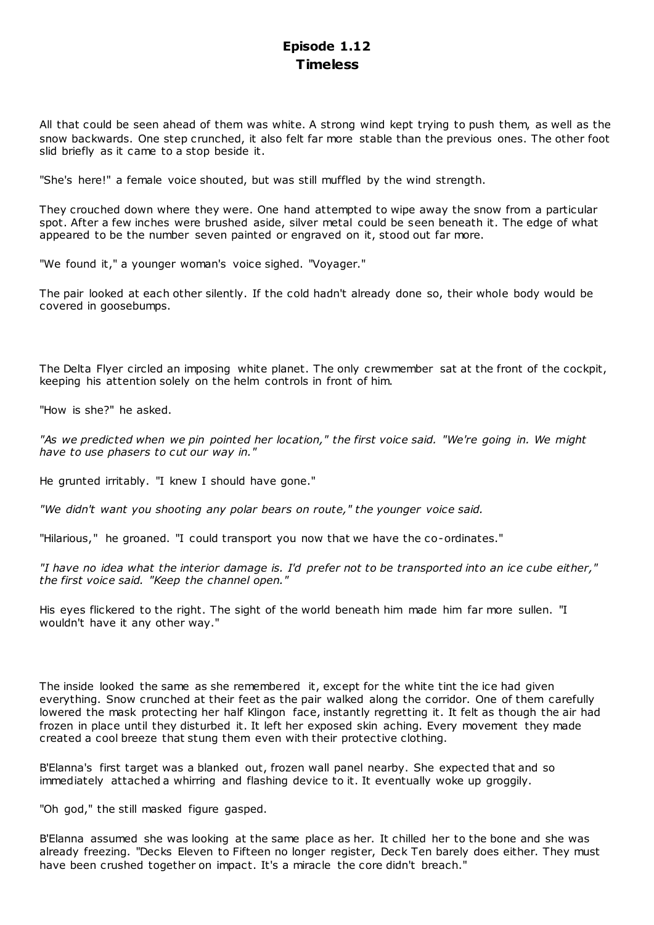## **Episode 1.12 Timeless**

All that could be seen ahead of them was white. A strong wind kept trying to push them, as well as the snow backwards. One step crunched, it also felt far more stable than the previous ones. The other foot slid briefly as it came to a stop beside it.

"She's here!" a female voice shouted, but was still muffled by the wind strength.

They crouched down where they were. One hand attempted to wipe away the snow from a particular spot. After a few inches were brushed aside, silver metal could be seen beneath it. The edge of what appeared to be the number seven painted or engraved on it, stood out far more.

"We found it," a younger woman's voice sighed. "Voyager."

The pair looked at each other silently. If the cold hadn't already done so, their whole body would be covered in goosebumps.

The Delta Flyer circled an imposing white planet. The only crewmember sat at the front of the cockpit, keeping his attention solely on the helm controls in front of him.

"How is she?" he asked.

*"As we predicted when we pin pointed her location," the first voice said. "We're going in. We might have to use phasers to cut our way in."*

He grunted irritably. "I knew I should have gone."

*"We didn't want you shooting any polar bears on route," the younger voice said.*

"Hilarious," he groaned. "I could transport you now that we have the co-ordinates."

*"I have no idea what the interior damage is. I'd prefer not to be transported into an ice cube either," the first voice said. "Keep the channel open."*

His eyes flickered to the right. The sight of the world beneath him made him far more sullen. "I wouldn't have it any other way."

The inside looked the same as she remembered it, except for the white tint the ice had given everything. Snow crunched at their feet as the pair walked along the corridor. One of them carefully lowered the mask protecting her half Klingon face, instantly regretting it. It felt as though the air had frozen in place until they disturbed it. It left her exposed skin aching. Every movement they made created a cool breeze that stung them even with their protective clothing.

B'Elanna's first target was a blanked out, frozen wall panel nearby. She expected that and so immediately attached a whirring and flashing device to it. It eventually woke up groggily.

"Oh god," the still masked figure gasped.

B'Elanna assumed she was looking at the same place as her. It chilled her to the bone and she was already freezing. "Decks Eleven to Fifteen no longer register, Deck Ten barely does either. They must have been crushed together on impact. It's a miracle the core didn't breach."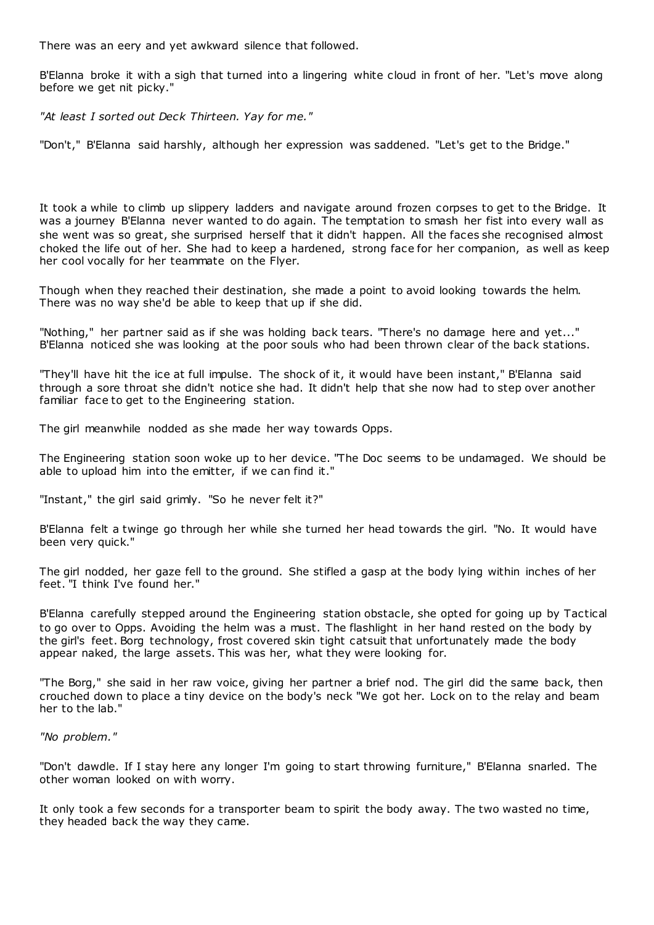There was an eery and yet awkward silence that followed.

B'Elanna broke it with a sigh that turned into a lingering white cloud in front of her. "Let's move along before we get nit picky."

*"At least I sorted out Deck Thirteen. Yay for me."*

"Don't," B'Elanna said harshly, although her expression was saddened. "Let's get to the Bridge."

It took a while to climb up slippery ladders and navigate around frozen corpses to get to the Bridge. It was a journey B'Elanna never wanted to do again. The temptation to smash her fist into every wall as she went was so great, she surprised herself that it didn't happen. All the faces she recognised almost choked the life out of her. She had to keep a hardened, strong face for her companion, as well as keep her cool vocally for her teammate on the Flyer.

Though when they reached their destination, she made a point to avoid looking towards the helm. There was no way she'd be able to keep that up if she did.

"Nothing," her partner said as if she was holding back tears. "There's no damage here and yet..." B'Elanna noticed she was looking at the poor souls who had been thrown clear of the back stations.

"They'll have hit the ice at full impulse. The shock of it, it would have been instant," B'Elanna said through a sore throat she didn't notice she had. It didn't help that she now had to step over another familiar face to get to the Engineering station.

The girl meanwhile nodded as she made her way towards Opps.

The Engineering station soon woke up to her device. "The Doc seems to be undamaged. We should be able to upload him into the emitter, if we can find it."

"Instant," the girl said grimly. "So he never felt it?"

B'Elanna felt a twinge go through her while she turned her head towards the girl. "No. It would have been very quick."

The girl nodded, her gaze fell to the ground. She stifled a gasp at the body lying within inches of her feet. "I think I've found her."

B'Elanna carefully stepped around the Engineering station obstacle, she opted for going up by Tactical to go over to Opps. Avoiding the helm was a must. The flashlight in her hand rested on the body by the girl's feet. Borg technology, frost covered skin tight catsuit that unfortunately made the body appear naked, the large assets. This was her, what they were looking for.

"The Borg," she said in her raw voice, giving her partner a brief nod. The girl did the same back, then crouched down to place a tiny device on the body's neck "We got her. Lock on to the relay and beam her to the lab."

*"No problem."*

"Don't dawdle. If I stay here any longer I'm going to start throwing furniture," B'Elanna snarled. The other woman looked on with worry.

It only took a few seconds for a transporter beam to spirit the body away. The two wasted no time, they headed back the way they came.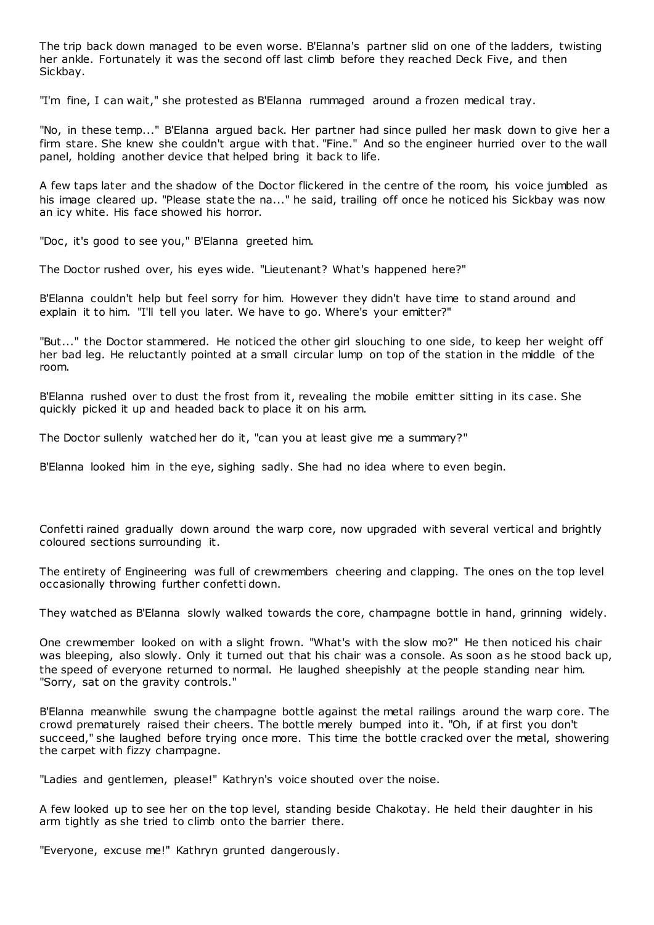The trip back down managed to be even worse. B'Elanna's partner slid on one of the ladders, twisting her ankle. Fortunately it was the second off last climb before they reached Deck Five, and then Sickbay.

"I'm fine, I can wait," she protested as B'Elanna rummaged around a frozen medical tray.

"No, in these temp..." B'Elanna argued back. Her partner had since pulled her mask down to give her a firm stare. She knew she couldn't argue with that. "Fine." And so the engineer hurried over to the wall panel, holding another device that helped bring it back to life.

A few taps later and the shadow of the Doctor flickered in the centre of the room, his voice jumbled as his image cleared up. "Please state the na..." he said, trailing off once he noticed his Sickbay was now an icy white. His face showed his horror.

"Doc, it's good to see you," B'Elanna greeted him.

The Doctor rushed over, his eyes wide. "Lieutenant? What's happened here?"

B'Elanna couldn't help but feel sorry for him. However they didn't have time to stand around and explain it to him. "I'll tell you later. We have to go. Where's your emitter?"

"But..." the Doctor stammered. He noticed the other girl slouching to one side, to keep her weight off her bad leg. He reluctantly pointed at a small circular lump on top of the station in the middle of the room.

B'Elanna rushed over to dust the frost from it, revealing the mobile emitter sitting in its case. She quickly picked it up and headed back to place it on his arm.

The Doctor sullenly watched her do it, "can you at least give me a summary?"

B'Elanna looked him in the eye, sighing sadly. She had no idea where to even begin.

Confetti rained gradually down around the warp core, now upgraded with several vertical and brightly coloured sections surrounding it.

The entirety of Engineering was full of crewmembers cheering and clapping. The ones on the top level occasionally throwing further confetti down.

They watched as B'Elanna slowly walked towards the core, champagne bottle in hand, grinning widely.

One crewmember looked on with a slight frown. "What's with the slow mo?" He then noticed his chair was bleeping, also slowly. Only it turned out that his chair was a console. As soon as he stood back up, the speed of everyone returned to normal. He laughed sheepishly at the people standing near him. "Sorry, sat on the gravity controls."

B'Elanna meanwhile swung the champagne bottle against the metal railings around the warp core. The crowd prematurely raised their cheers. The bottle merely bumped into it. "Oh, if at first you don't succeed," she laughed before trying once more. This time the bottle cracked over the metal, showering the carpet with fizzy champagne.

"Ladies and gentlemen, please!" Kathryn's voice shouted over the noise.

A few looked up to see her on the top level, standing beside Chakotay. He held their daughter in his arm tightly as she tried to climb onto the barrier there.

"Everyone, excuse me!" Kathryn grunted dangerously.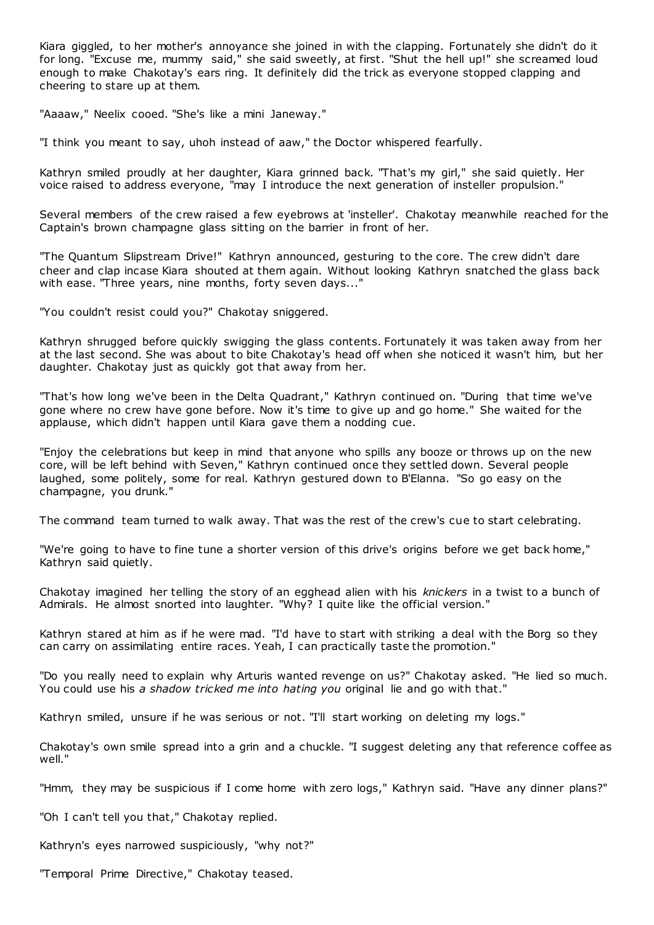Kiara giggled, to her mother's annoyance she joined in with the clapping. Fortunately she didn't do it for long. "Excuse me, mummy said," she said sweetly, at first. "Shut the hell up!" she screamed loud enough to make Chakotay's ears ring. It definitely did the trick as everyone stopped clapping and cheering to stare up at them.

"Aaaaw," Neelix cooed. "She's like a mini Janeway."

"I think you meant to say, uhoh instead of aaw," the Doctor whispered fearfully.

Kathryn smiled proudly at her daughter, Kiara grinned back. "That's my girl," she said quietly. Her voice raised to address everyone, "may I introduce the next generation of insteller propulsion."

Several members of the crew raised a few eyebrows at 'insteller'. Chakotay meanwhile reached for the Captain's brown champagne glass sitting on the barrier in front of her.

"The Quantum Slipstream Drive!" Kathryn announced, gesturing to the core. The crew didn't dare cheer and clap incase Kiara shouted at them again. Without looking Kathryn snatched the glass back with ease. "Three years, nine months, forty seven days..."

"You couldn't resist could you?" Chakotay sniggered.

Kathryn shrugged before quickly swigging the glass contents. Fortunately it was taken away from her at the last second. She was about to bite Chakotay's head off when she noticed it wasn't him, but her daughter. Chakotay just as quickly got that away from her.

"That's how long we've been in the Delta Quadrant," Kathryn continued on. "During that time we've gone where no crew have gone before. Now it's time to give up and go home." She waited for the applause, which didn't happen until Kiara gave them a nodding cue.

"Enjoy the celebrations but keep in mind that anyone who spills any booze or throws up on the new core, will be left behind with Seven," Kathryn continued once they settled down. Several people laughed, some politely, some for real. Kathryn gestured down to B'Elanna. "So go easy on the champagne, you drunk."

The command team turned to walk away. That was the rest of the crew's cue to start celebrating.

"We're going to have to fine tune a shorter version of this drive's origins before we get back home," Kathryn said quietly.

Chakotay imagined her telling the story of an egghead alien with his *knickers* in a twist to a bunch of Admirals. He almost snorted into laughter. "Why? I quite like the official version."

Kathryn stared at him as if he were mad. "I'd have to start with striking a deal with the Borg so they can carry on assimilating entire races. Yeah, I can practically taste the promotion."

"Do you really need to explain why Arturis wanted revenge on us?" Chakotay asked. "He lied so much. You could use his *a shadow tricked me into hating you* original lie and go with that."

Kathryn smiled, unsure if he was serious or not. "I'll start working on deleting my logs."

Chakotay's own smile spread into a grin and a chuckle. "I suggest deleting any that reference coffee as well."

"Hmm, they may be suspicious if I come home with zero logs," Kathryn said. "Have any dinner plans?"

"Oh I can't tell you that," Chakotay replied.

Kathryn's eyes narrowed suspiciously, "why not?"

"Temporal Prime Directive," Chakotay teased.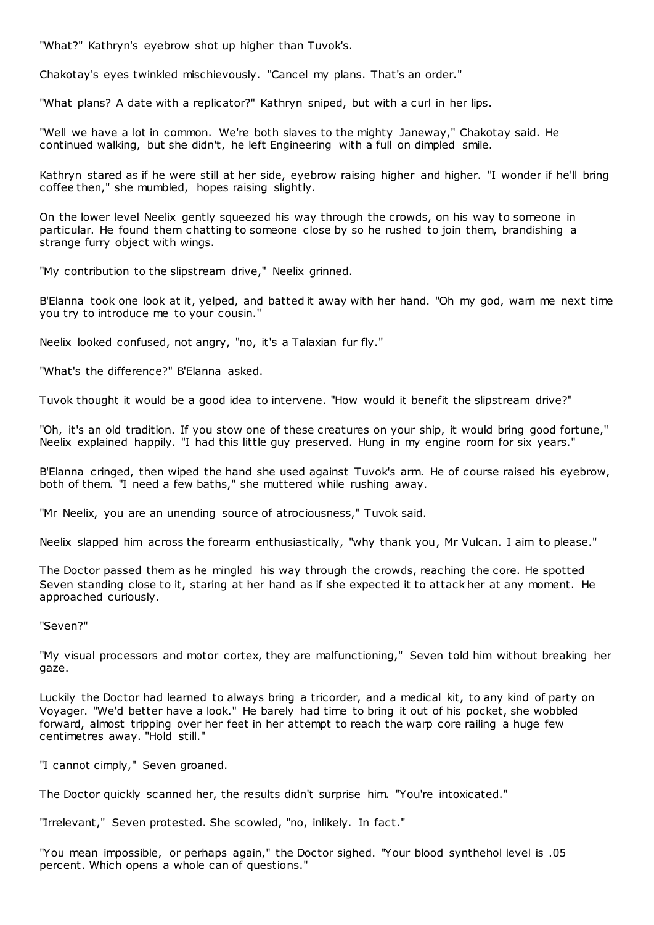"What?" Kathryn's eyebrow shot up higher than Tuvok's.

Chakotay's eyes twinkled mischievously. "Cancel my plans. That's an order."

"What plans? A date with a replicator?" Kathryn sniped, but with a curl in her lips.

"Well we have a lot in common. We're both slaves to the mighty Janeway," Chakotay said. He continued walking, but she didn't, he left Engineering with a full on dimpled smile.

Kathryn stared as if he were still at her side, eyebrow raising higher and higher. "I wonder if he'll bring coffee then," she mumbled, hopes raising slightly.

On the lower level Neelix gently squeezed his way through the crowds, on his way to someone in particular. He found them chatting to someone close by so he rushed to join them, brandishing a strange furry object with wings.

"My contribution to the slipstream drive," Neelix grinned.

B'Elanna took one look at it, yelped, and batted it away with her hand. "Oh my god, warn me next time you try to introduce me to your cousin."

Neelix looked confused, not angry, "no, it's a Talaxian fur fly."

"What's the difference?" B'Elanna asked.

Tuvok thought it would be a good idea to intervene. "How would it benefit the slipstream drive?"

"Oh, it's an old tradition. If you stow one of these creatures on your ship, it would bring good fortune," Neelix explained happily. "I had this little guy preserved. Hung in my engine room for six years."

B'Elanna cringed, then wiped the hand she used against Tuvok's arm. He of course raised his eyebrow, both of them. "I need a few baths," she muttered while rushing away.

"Mr Neelix, you are an unending source of atrociousness," Tuvok said.

Neelix slapped him across the forearm enthusiastically, "why thank you, Mr Vulcan. I aim to please."

The Doctor passed them as he mingled his way through the crowds, reaching the core. He spotted Seven standing close to it, staring at her hand as if she expected it to attack her at any moment. He approached curiously.

"Seven?"

"My visual processors and motor cortex, they are malfunctioning," Seven told him without breaking her gaze.

Luckily the Doctor had learned to always bring a tricorder, and a medical kit, to any kind of party on Voyager. "We'd better have a look." He barely had time to bring it out of his pocket, she wobbled forward, almost tripping over her feet in her attempt to reach the warp core railing a huge few centimetres away. "Hold still."

"I cannot cimply," Seven groaned.

The Doctor quickly scanned her, the results didn't surprise him. "You're intoxicated."

"Irrelevant," Seven protested. She scowled, "no, inlikely. In fact."

"You mean impossible, or perhaps again," the Doctor sighed. "Your blood synthehol level is .05 percent. Which opens a whole can of questions."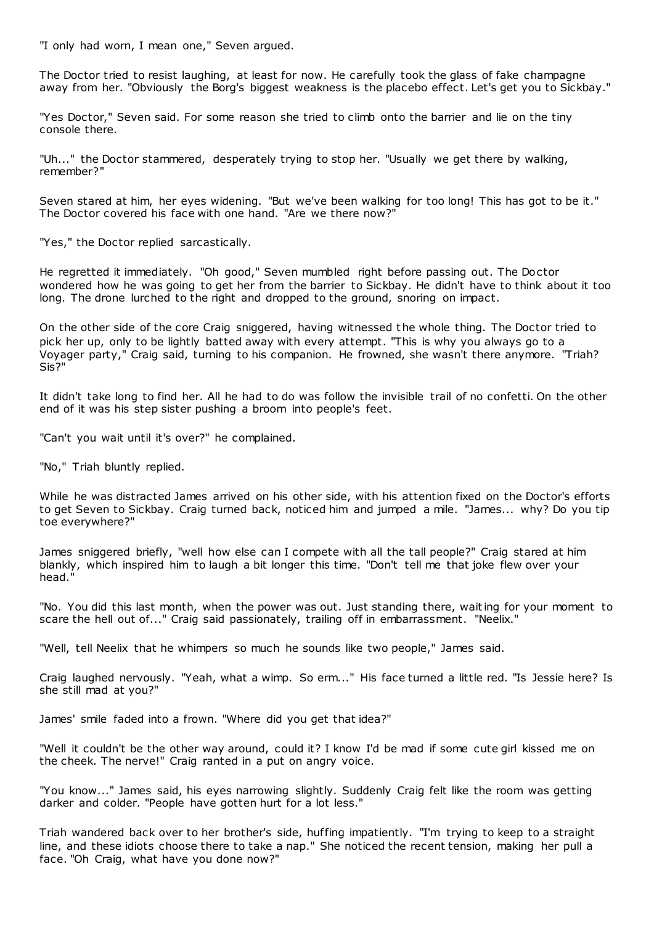"I only had worn, I mean one," Seven argued.

The Doctor tried to resist laughing, at least for now. He carefully took the glass of fake champagne away from her. "Obviously the Borg's biggest weakness is the placebo effect. Let's get you to Sickbay."

"Yes Doctor," Seven said. For some reason she tried to climb onto the barrier and lie on the tiny console there.

"Uh..." the Doctor stammered, desperately trying to stop her. "Usually we get there by walking, remember?"

Seven stared at him, her eyes widening. "But we've been walking for too long! This has got to be it." The Doctor covered his face with one hand. "Are we there now?"

"Yes," the Doctor replied sarcastically.

He regretted it immediately. "Oh good," Seven mumbled right before passing out. The Doctor wondered how he was going to get her from the barrier to Sickbay. He didn't have to think about it too long. The drone lurched to the right and dropped to the ground, snoring on impact.

On the other side of the core Craig sniggered, having witnessed the whole thing. The Doctor tried to pick her up, only to be lightly batted away with every attempt. "This is why you always go to a Voyager party," Craig said, turning to his companion. He frowned, she wasn't there anymore. "Triah? Sis?"

It didn't take long to find her. All he had to do was follow the invisible trail of no confetti. On the other end of it was his step sister pushing a broom into people's feet.

"Can't you wait until it's over?" he complained.

"No," Triah bluntly replied.

While he was distracted James arrived on his other side, with his attention fixed on the Doctor's efforts to get Seven to Sickbay. Craig turned back, noticed him and jumped a mile. "James... why? Do you tip toe everywhere?"

James sniggered briefly, "well how else can I compete with all the tall people?" Craig stared at him blankly, which inspired him to laugh a bit longer this time. "Don't tell me that joke flew over your head."

"No. You did this last month, when the power was out. Just standing there, waiting for your moment to scare the hell out of..." Craig said passionately, trailing off in embarrassment. "Neelix."

"Well, tell Neelix that he whimpers so much he sounds like two people," James said.

Craig laughed nervously. "Yeah, what a wimp. So erm..." His face turned a little red. "Is Jessie here? Is she still mad at you?"

James' smile faded into a frown. "Where did you get that idea?"

"Well it couldn't be the other way around, could it? I know I'd be mad if some cute girl kissed me on the cheek. The nerve!" Craig ranted in a put on angry voice.

"You know..." James said, his eyes narrowing slightly. Suddenly Craig felt like the room was getting darker and colder. "People have gotten hurt for a lot less."

Triah wandered back over to her brother's side, huffing impatiently. "I'm trying to keep to a straight line, and these idiots choose there to take a nap." She noticed the recent tension, making her pull a face. "Oh Craig, what have you done now?"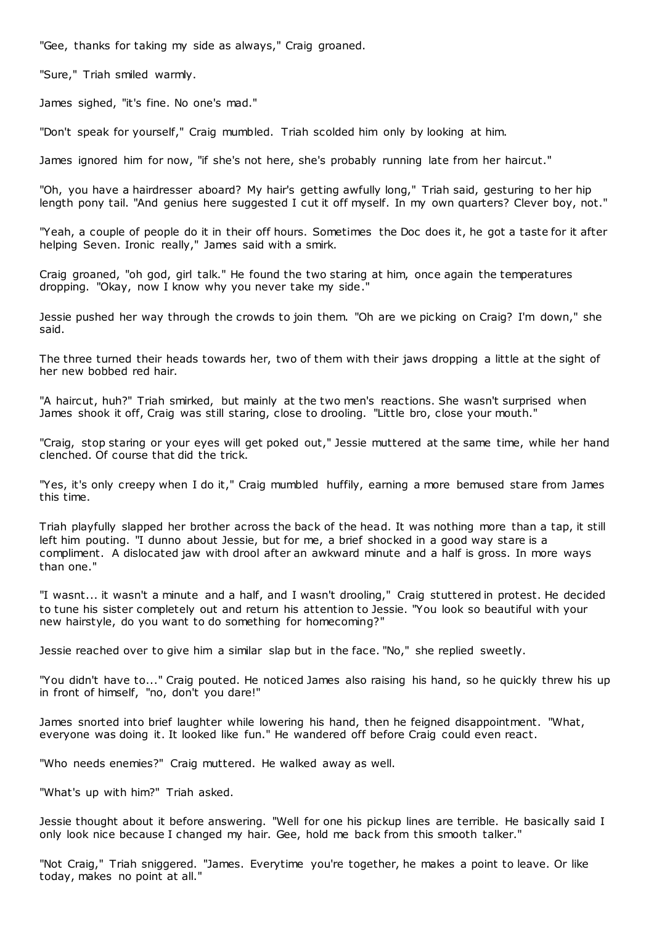"Gee, thanks for taking my side as always," Craig groaned.

"Sure," Triah smiled warmly.

James sighed, "it's fine. No one's mad."

"Don't speak for yourself," Craig mumbled. Triah scolded him only by looking at him.

James ignored him for now, "if she's not here, she's probably running late from her haircut."

"Oh, you have a hairdresser aboard? My hair's getting awfully long," Triah said, gesturing to her hip length pony tail. "And genius here suggested I cut it off myself. In my own quarters? Clever boy, not."

"Yeah, a couple of people do it in their off hours. Sometimes the Doc does it, he got a taste for it after helping Seven. Ironic really," James said with a smirk.

Craig groaned, "oh god, girl talk." He found the two staring at him, once again the temperatures dropping. "Okay, now I know why you never take my side."

Jessie pushed her way through the crowds to join them. "Oh are we picking on Craig? I'm down," she said.

The three turned their heads towards her, two of them with their jaws dropping a little at the sight of her new bobbed red hair.

"A haircut, huh?" Triah smirked, but mainly at the two men's reactions. She wasn't surprised when James shook it off, Craig was still staring, close to drooling. "Little bro, close your mouth."

"Craig, stop staring or your eyes will get poked out," Jessie muttered at the same time, while her hand clenched. Of course that did the trick.

"Yes, it's only creepy when I do it," Craig mumbled huffily, earning a more bemused stare from James this time.

Triah playfully slapped her brother across the back of the head. It was nothing more than a tap, it still left him pouting. "I dunno about Jessie, but for me, a brief shocked in a good way stare is a compliment. A dislocated jaw with drool after an awkward minute and a half is gross. In more ways than one."

"I wasnt... it wasn't a minute and a half, and I wasn't drooling," Craig stuttered in protest. He decided to tune his sister completely out and return his attention to Jessie. "You look so beautiful with your new hairstyle, do you want to do something for homecoming?"

Jessie reached over to give him a similar slap but in the face. "No," she replied sweetly.

"You didn't have to..." Craig pouted. He noticed James also raising his hand, so he quickly threw his up in front of himself, "no, don't you dare!"

James snorted into brief laughter while lowering his hand, then he feigned disappointment. "What, everyone was doing it. It looked like fun." He wandered off before Craig could even react.

"Who needs enemies?" Craig muttered. He walked away as well.

"What's up with him?" Triah asked.

Jessie thought about it before answering. "Well for one his pickup lines are terrible. He basically said I only look nice because I changed my hair. Gee, hold me back from this smooth talker."

"Not Craig," Triah sniggered. "James. Everytime you're together, he makes a point to leave. Or like today, makes no point at all."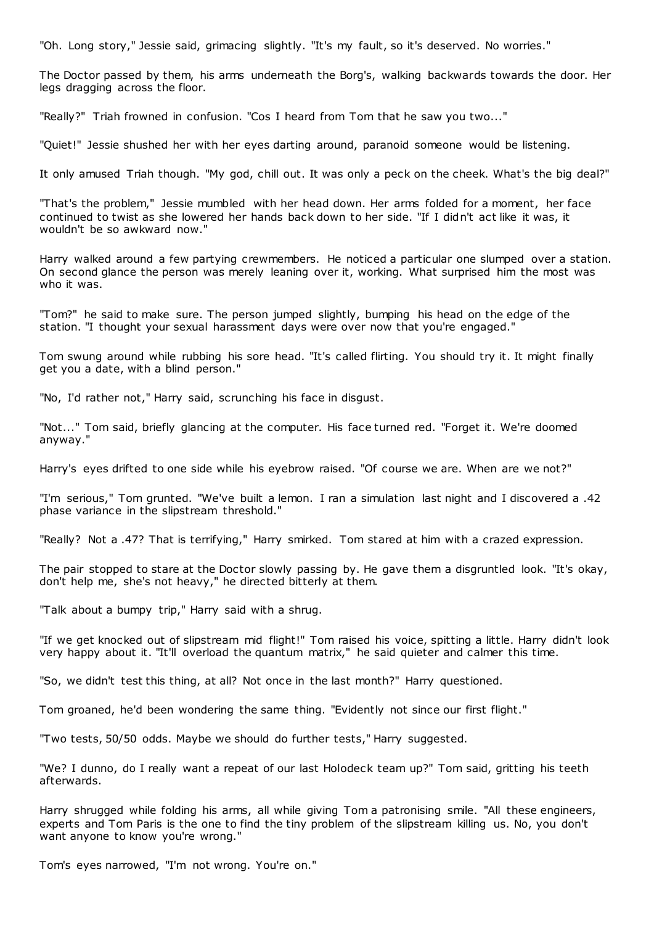"Oh. Long story," Jessie said, grimacing slightly. "It's my fault, so it's deserved. No worries."

The Doctor passed by them, his arms underneath the Borg's, walking backwards towards the door. Her legs dragging across the floor.

"Really?" Triah frowned in confusion. "Cos I heard from Tom that he saw you two..."

"Quiet!" Jessie shushed her with her eyes darting around, paranoid someone would be listening.

It only amused Triah though. "My god, chill out. It was only a peck on the cheek. What's the big deal?"

"That's the problem," Jessie mumbled with her head down. Her arms folded for a moment, her face continued to twist as she lowered her hands back down to her side. "If I didn't act like it was, it wouldn't be so awkward now."

Harry walked around a few partying crewmembers. He noticed a particular one slumped over a station. On second glance the person was merely leaning over it, working. What surprised him the most was who it was.

"Tom?" he said to make sure. The person jumped slightly, bumping his head on the edge of the station. "I thought your sexual harassment days were over now that you're engaged."

Tom swung around while rubbing his sore head. "It's called flirting. You should try it. It might finally get you a date, with a blind person."

"No, I'd rather not," Harry said, scrunching his face in disgust.

"Not..." Tom said, briefly glancing at the computer. His face turned red. "Forget it. We're doomed anyway."

Harry's eyes drifted to one side while his eyebrow raised. "Of course we are. When are we not?"

"I'm serious," Tom grunted. "We've built a lemon. I ran a simulation last night and I discovered a .42 phase variance in the slipstream threshold."

"Really? Not a .47? That is terrifying," Harry smirked. Tom stared at him with a crazed expression.

The pair stopped to stare at the Doctor slowly passing by. He gave them a disgruntled look. "It's okay, don't help me, she's not heavy," he directed bitterly at them.

"Talk about a bumpy trip," Harry said with a shrug.

"If we get knocked out of slipstream mid flight!" Tom raised his voice, spitting a little. Harry didn't look very happy about it. "It'll overload the quantum matrix," he said quieter and calmer this time.

"So, we didn't test this thing, at all? Not once in the last month?" Harry questioned.

Tom groaned, he'd been wondering the same thing. "Evidently not since our first flight."

"Two tests, 50/50 odds. Maybe we should do further tests," Harry suggested.

"We? I dunno, do I really want a repeat of our last Holodeck team up?" Tom said, gritting his teeth afterwards.

Harry shrugged while folding his arms, all while giving Tom a patronising smile. "All these engineers, experts and Tom Paris is the one to find the tiny problem of the slipstream killing us. No, you don't want anyone to know you're wrong."

Tom's eyes narrowed, "I'm not wrong. You're on."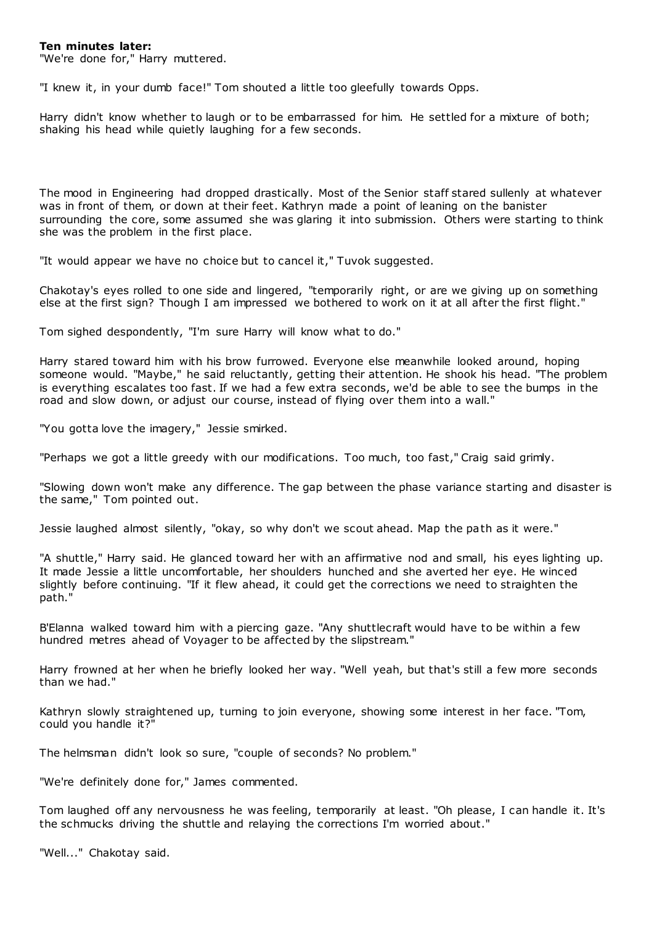## **Ten minutes later:**

"We're done for," Harry muttered.

"I knew it, in your dumb face!" Tom shouted a little too gleefully towards Opps.

Harry didn't know whether to laugh or to be embarrassed for him. He settled for a mixture of both; shaking his head while quietly laughing for a few seconds.

The mood in Engineering had dropped drastically. Most of the Senior staff stared sullenly at whatever was in front of them, or down at their feet. Kathryn made a point of leaning on the banister surrounding the core, some assumed she was glaring it into submission. Others were starting to think she was the problem in the first place.

"It would appear we have no choice but to cancel it," Tuvok suggested.

Chakotay's eyes rolled to one side and lingered, "temporarily right, or are we giving up on something else at the first sign? Though I am impressed we bothered to work on it at all after the first flight."

Tom sighed despondently, "I'm sure Harry will know what to do."

Harry stared toward him with his brow furrowed. Everyone else meanwhile looked around, hoping someone would. "Maybe," he said reluctantly, getting their attention. He shook his head. "The problem is everything escalates too fast. If we had a few extra seconds, we'd be able to see the bumps in the road and slow down, or adjust our course, instead of flying over them into a wall."

"You gotta love the imagery," Jessie smirked.

"Perhaps we got a little greedy with our modifications. Too much, too fast," Craig said grimly.

"Slowing down won't make any difference. The gap between the phase variance starting and disaster is the same," Tom pointed out.

Jessie laughed almost silently, "okay, so why don't we scout ahead. Map the path as it were."

"A shuttle," Harry said. He glanced toward her with an affirmative nod and small, his eyes lighting up. It made Jessie a little uncomfortable, her shoulders hunched and she averted her eye. He winced slightly before continuing. "If it flew ahead, it could get the corrections we need to straighten the path."

B'Elanna walked toward him with a piercing gaze. "Any shuttlecraft would have to be within a few hundred metres ahead of Voyager to be affected by the slipstream."

Harry frowned at her when he briefly looked her way. "Well yeah, but that's still a few more seconds than we had."

Kathryn slowly straightened up, turning to join everyone, showing some interest in her face. "Tom, could you handle it?"

The helmsman didn't look so sure, "couple of seconds? No problem."

"We're definitely done for," James commented.

Tom laughed off any nervousness he was feeling, temporarily at least. "Oh please, I can handle it. It's the schmucks driving the shuttle and relaying the corrections I'm worried about."

"Well..." Chakotay said.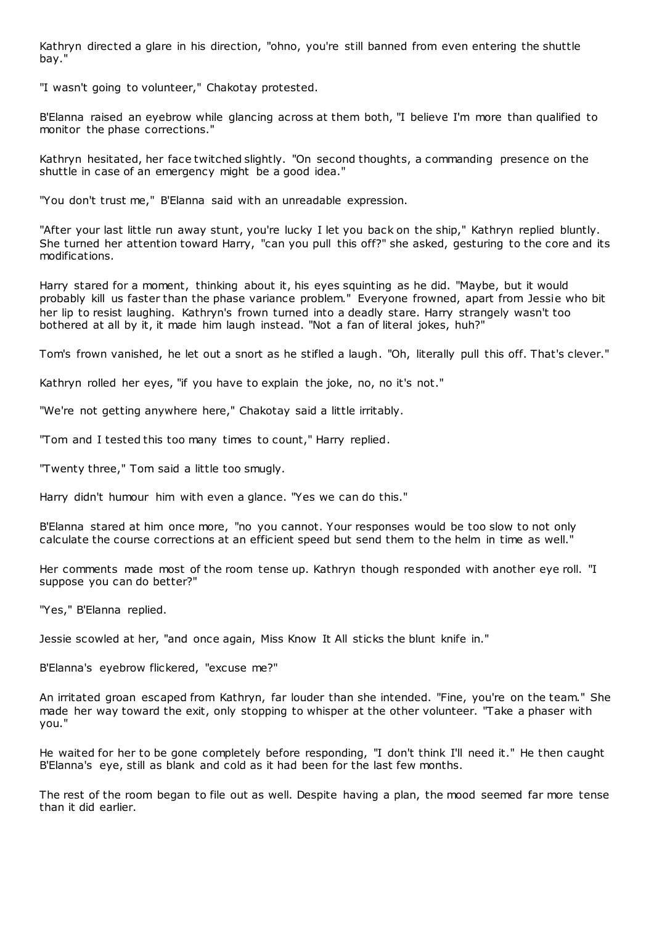Kathryn directed a glare in his direction, "ohno, you're still banned from even entering the shuttle bay."

"I wasn't going to volunteer," Chakotay protested.

B'Elanna raised an eyebrow while glancing across at them both, "I believe I'm more than qualified to monitor the phase corrections."

Kathryn hesitated, her face twitched slightly. "On second thoughts, a commanding presence on the shuttle in case of an emergency might be a good idea."

"You don't trust me," B'Elanna said with an unreadable expression.

"After your last little run away stunt, you're lucky I let you back on the ship," Kathryn replied bluntly. She turned her attention toward Harry, "can you pull this off?" she asked, gesturing to the core and its modifications.

Harry stared for a moment, thinking about it, his eyes squinting as he did. "Maybe, but it would probably kill us faster than the phase variance problem." Everyone frowned, apart from Jessie who bit her lip to resist laughing. Kathryn's frown turned into a deadly stare. Harry strangely wasn't too bothered at all by it, it made him laugh instead. "Not a fan of literal jokes, huh?"

Tom's frown vanished, he let out a snort as he stifled a laugh. "Oh, literally pull this off. That's clever."

Kathryn rolled her eyes, "if you have to explain the joke, no, no it's not."

"We're not getting anywhere here," Chakotay said a little irritably.

"Tom and I tested this too many times to count," Harry replied.

"Twenty three," Tom said a little too smugly.

Harry didn't humour him with even a glance. "Yes we can do this."

B'Elanna stared at him once more, "no you cannot. Your responses would be too slow to not only calculate the course corrections at an efficient speed but send them to the helm in time as well."

Her comments made most of the room tense up. Kathryn though responded with another eye roll. "I suppose you can do better?"

"Yes," B'Elanna replied.

Jessie scowled at her, "and once again, Miss Know It All sticks the blunt knife in."

B'Elanna's eyebrow flickered, "excuse me?"

An irritated groan escaped from Kathryn, far louder than she intended. "Fine, you're on the team." She made her way toward the exit, only stopping to whisper at the other volunteer. "Take a phaser with you."

He waited for her to be gone completely before responding, "I don't think I'll need it." He then caught B'Elanna's eye, still as blank and cold as it had been for the last few months.

The rest of the room began to file out as well. Despite having a plan, the mood seemed far more tense than it did earlier.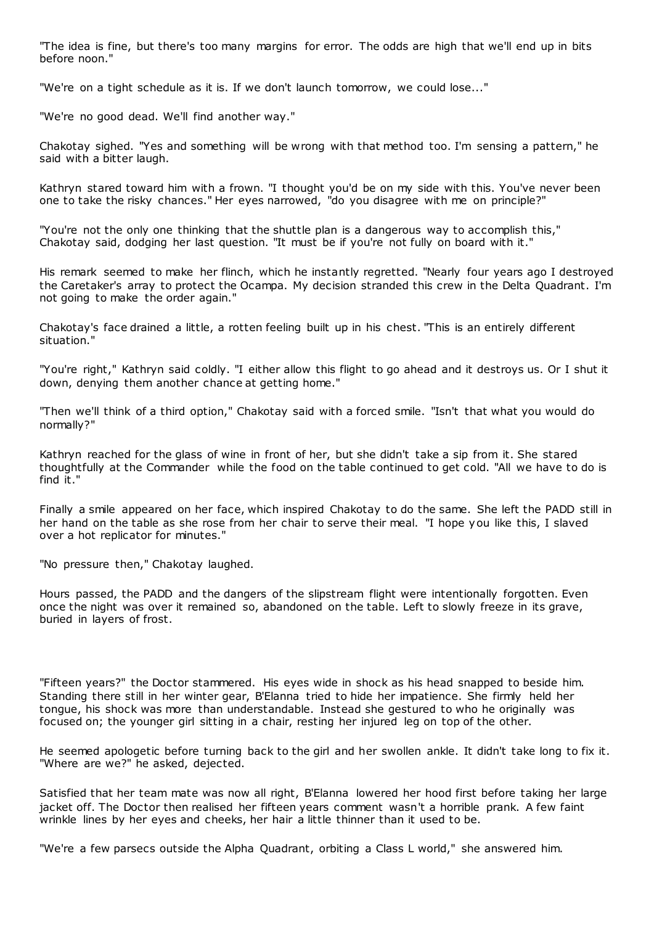"The idea is fine, but there's too many margins for error. The odds are high that we'll end up in bits before noon."

"We're on a tight schedule as it is. If we don't launch tomorrow, we could lose..."

"We're no good dead. We'll find another way."

Chakotay sighed. "Yes and something will be wrong with that method too. I'm sensing a pattern," he said with a bitter laugh.

Kathryn stared toward him with a frown. "I thought you'd be on my side with this. You've never been one to take the risky chances." Her eyes narrowed, "do you disagree with me on principle?"

"You're not the only one thinking that the shuttle plan is a dangerous way to accomplish this," Chakotay said, dodging her last question. "It must be if you're not fully on board with it."

His remark seemed to make her flinch, which he instantly regretted. "Nearly four years ago I destroyed the Caretaker's array to protect the Ocampa. My decision stranded this crew in the Delta Quadrant. I'm not going to make the order again."

Chakotay's face drained a little, a rotten feeling built up in his chest. "This is an entirely different situation."

"You're right," Kathryn said coldly. "I either allow this flight to go ahead and it destroys us. Or I shut it down, denying them another chance at getting home."

"Then we'll think of a third option," Chakotay said with a forced smile. "Isn't that what you would do normally?"

Kathryn reached for the glass of wine in front of her, but she didn't take a sip from it. She stared thoughtfully at the Commander while the food on the table continued to get cold. "All we have to do is find it."

Finally a smile appeared on her face, which inspired Chakotay to do the same. She left the PADD still in her hand on the table as she rose from her chair to serve their meal. "I hope you like this, I slaved over a hot replicator for minutes."

"No pressure then," Chakotay laughed.

Hours passed, the PADD and the dangers of the slipstream flight were intentionally forgotten. Even once the night was over it remained so, abandoned on the table. Left to slowly freeze in its grave, buried in layers of frost.

"Fifteen years?" the Doctor stammered. His eyes wide in shock as his head snapped to beside him. Standing there still in her winter gear, B'Elanna tried to hide her impatience. She firmly held her tongue, his shock was more than understandable. Instead she gestured to who he originally was focused on; the younger girl sitting in a chair, resting her injured leg on top of the other.

He seemed apologetic before turning back to the girl and her swollen ankle. It didn't take long to fix it. "Where are we?" he asked, dejected.

Satisfied that her team mate was now all right, B'Elanna lowered her hood first before taking her large jacket off. The Doctor then realised her fifteen years comment wasn't a horrible prank. A few faint wrinkle lines by her eyes and cheeks, her hair a little thinner than it used to be.

"We're a few parsecs outside the Alpha Quadrant, orbiting a Class L world," she answered him.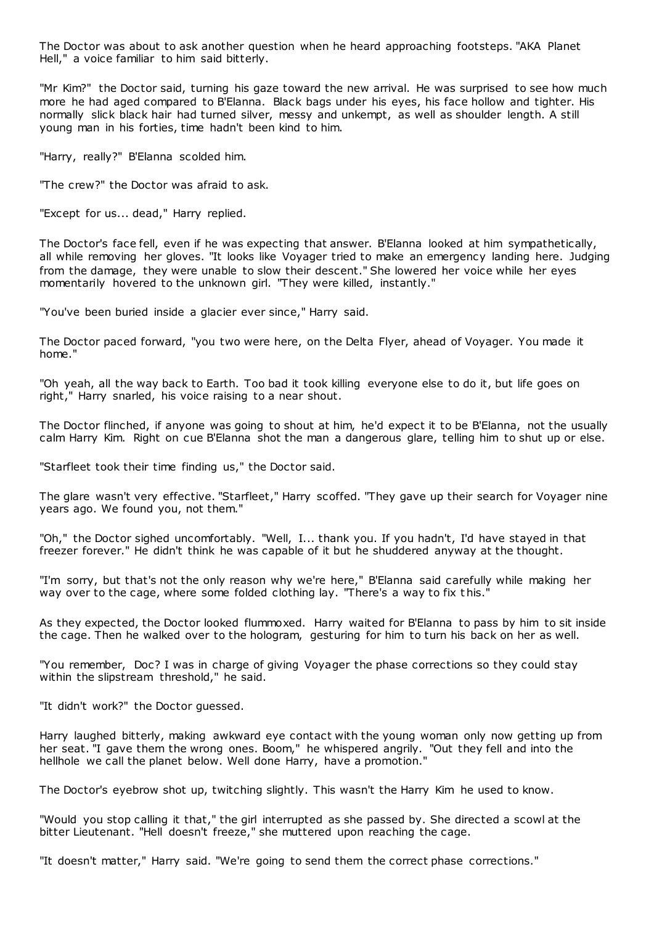The Doctor was about to ask another question when he heard approaching footsteps. "AKA Planet Hell," a voice familiar to him said bitterly.

"Mr Kim?" the Doctor said, turning his gaze toward the new arrival. He was surprised to see how much more he had aged compared to B'Elanna. Black bags under his eyes, his face hollow and tighter. His normally slick black hair had turned silver, messy and unkempt, as well as shoulder length. A still young man in his forties, time hadn't been kind to him.

"Harry, really?" B'Elanna scolded him.

"The crew?" the Doctor was afraid to ask.

"Except for us... dead," Harry replied.

The Doctor's face fell, even if he was expecting that answer. B'Elanna looked at him sympathetically, all while removing her gloves. "It looks like Voyager tried to make an emergency landing here. Judging from the damage, they were unable to slow their descent." She lowered her voice while her eyes momentarily hovered to the unknown girl. "They were killed, instantly."

"You've been buried inside a glacier ever since," Harry said.

The Doctor paced forward, "you two were here, on the Delta Flyer, ahead of Voyager. You made it home."

"Oh yeah, all the way back to Earth. Too bad it took killing everyone else to do it, but life goes on right," Harry snarled, his voice raising to a near shout.

The Doctor flinched, if anyone was going to shout at him, he'd expect it to be B'Elanna, not the usually calm Harry Kim. Right on cue B'Elanna shot the man a dangerous glare, telling him to shut up or else.

"Starfleet took their time finding us," the Doctor said.

The glare wasn't very effective. "Starfleet," Harry scoffed. "They gave up their search for Voyager nine years ago. We found you, not them."

"Oh," the Doctor sighed uncomfortably. "Well, I... thank you. If you hadn't, I'd have stayed in that freezer forever." He didn't think he was capable of it but he shuddered anyway at the thought.

"I'm sorry, but that's not the only reason why we're here," B'Elanna said carefully while making her way over to the cage, where some folded clothing lay. "There's a way to fix t his."

As they expected, the Doctor looked flummoxed. Harry waited for B'Elanna to pass by him to sit inside the cage. Then he walked over to the hologram, gesturing for him to turn his back on her as well.

"You remember, Doc? I was in charge of giving Voyager the phase corrections so they could stay within the slipstream threshold," he said.

"It didn't work?" the Doctor guessed.

Harry laughed bitterly, making awkward eye contact with the young woman only now getting up from her seat. "I gave them the wrong ones. Boom," he whispered angrily. "Out they fell and into the hellhole we call the planet below. Well done Harry, have a promotion."

The Doctor's eyebrow shot up, twitching slightly. This wasn't the Harry Kim he used to know.

"Would you stop calling it that," the girl interrupted as she passed by. She directed a scowl at the bitter Lieutenant. "Hell doesn't freeze," she muttered upon reaching the cage.

"It doesn't matter," Harry said. "We're going to send them the correct phase corrections."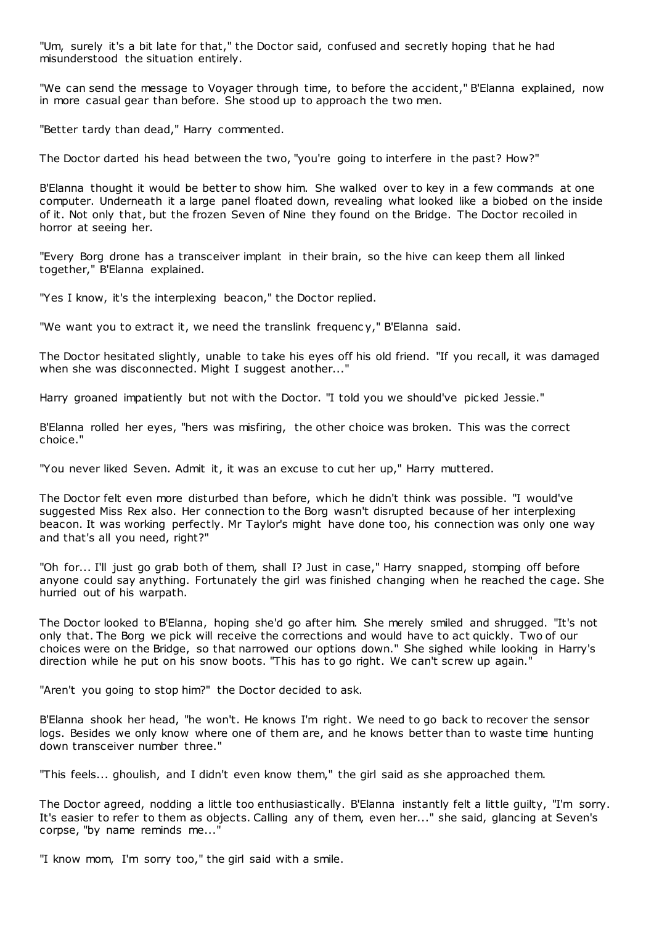"Um, surely it's a bit late for that," the Doctor said, confused and secretly hoping that he had misunderstood the situation entirely.

"We can send the message to Voyager through time, to before the accident," B'Elanna explained, now in more casual gear than before. She stood up to approach the two men.

"Better tardy than dead," Harry commented.

The Doctor darted his head between the two, "you're going to interfere in the past? How?"

B'Elanna thought it would be better to show him. She walked over to key in a few commands at one computer. Underneath it a large panel floated down, revealing what looked like a biobed on the inside of it. Not only that, but the frozen Seven of Nine they found on the Bridge. The Doctor recoiled in horror at seeing her.

"Every Borg drone has a transceiver implant in their brain, so the hive can keep them all linked together," B'Elanna explained.

"Yes I know, it's the interplexing beacon," the Doctor replied.

"We want you to extract it, we need the translink frequenc y," B'Elanna said.

The Doctor hesitated slightly, unable to take his eyes off his old friend. "If you recall, it was damaged when she was disconnected. Might I suggest another..."

Harry groaned impatiently but not with the Doctor. "I told you we should've picked Jessie."

B'Elanna rolled her eyes, "hers was misfiring, the other choice was broken. This was the correct choice."

"You never liked Seven. Admit it, it was an excuse to cut her up," Harry muttered.

The Doctor felt even more disturbed than before, which he didn't think was possible. "I would've suggested Miss Rex also. Her connection to the Borg wasn't disrupted because of her interplexing beacon. It was working perfectly. Mr Taylor's might have done too, his connection was only one way and that's all you need, right?"

"Oh for... I'll just go grab both of them, shall I? Just in case," Harry snapped, stomping off before anyone could say anything. Fortunately the girl was finished changing when he reached the cage. She hurried out of his warpath.

The Doctor looked to B'Elanna, hoping she'd go after him. She merely smiled and shrugged. "It's not only that. The Borg we pick will receive the corrections and would have to act quickly. Two of our choices were on the Bridge, so that narrowed our options down." She sighed while looking in Harry's direction while he put on his snow boots. "This has to go right. We can't screw up again."

"Aren't you going to stop him?" the Doctor decided to ask.

B'Elanna shook her head, "he won't. He knows I'm right. We need to go back to recover the sensor logs. Besides we only know where one of them are, and he knows better than to waste time hunting down transceiver number three."

"This feels... ghoulish, and I didn't even know them," the girl said as she approached them.

The Doctor agreed, nodding a little too enthusiastically. B'Elanna instantly felt a little guilty, "I'm sorry. It's easier to refer to them as objects. Calling any of them, even her..." she said, glancing at Seven's corpse, "by name reminds me..."

"I know mom, I'm sorry too," the girl said with a smile.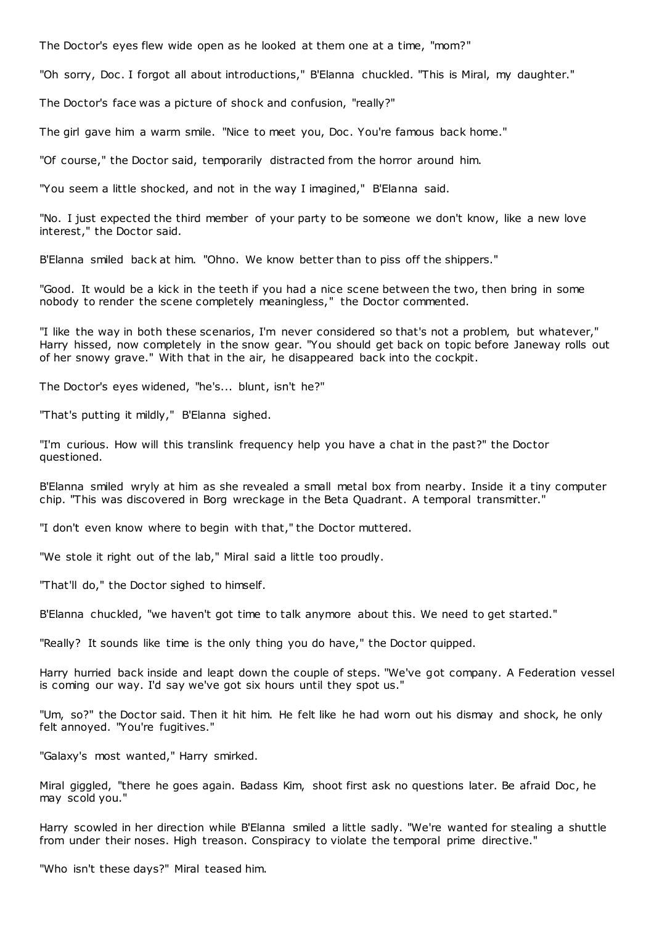The Doctor's eyes flew wide open as he looked at them one at a time, "mom?"

"Oh sorry, Doc . I forgot all about introductions," B'Elanna chuckled. "This is Miral, my daughter."

The Doctor's face was a picture of shock and confusion, "really?"

The girl gave him a warm smile. "Nice to meet you, Doc . You're famous back home."

"Of course," the Doctor said, temporarily distracted from the horror around him.

"You seem a little shocked, and not in the way I imagined," B'Elanna said.

"No. I just expected the third member of your party to be someone we don't know, like a new love interest," the Doctor said.

B'Elanna smiled back at him. "Ohno. We know better than to piss off the shippers."

"Good. It would be a kick in the teeth if you had a nice scene between the two, then bring in some nobody to render the scene completely meaningless," the Doctor commented.

"I like the way in both these scenarios, I'm never considered so that's not a problem, but whatever," Harry hissed, now completely in the snow gear. "You should get back on topic before Janeway rolls out of her snowy grave." With that in the air, he disappeared back into the cockpit.

The Doctor's eyes widened, "he's... blunt, isn't he?"

"That's putting it mildly," B'Elanna sighed.

"I'm curious. How will this translink frequency help you have a chat in the past?" the Doctor questioned.

B'Elanna smiled wryly at him as she revealed a small metal box from nearby. Inside it a tiny computer chip. "This was discovered in Borg wreckage in the Beta Quadrant. A temporal transmitter."

"I don't even know where to begin with that," the Doctor muttered.

"We stole it right out of the lab," Miral said a little too proudly.

"That'll do," the Doctor sighed to himself.

B'Elanna chuckled, "we haven't got time to talk anymore about this. We need to get started."

"Really? It sounds like time is the only thing you do have," the Doctor quipped.

Harry hurried back inside and leapt down the couple of steps. "We've got company. A Federation vessel is coming our way. I'd say we've got six hours until they spot us."

"Um, so?" the Doctor said. Then it hit him. He felt like he had worn out his dismay and shock, he only felt annoyed. "You're fugitives."

"Galaxy's most wanted," Harry smirked.

Miral giggled, "there he goes again. Badass Kim, shoot first ask no questions later. Be afraid Doc , he may scold you."

Harry scowled in her direction while B'Elanna smiled a little sadly. "We're wanted for stealing a shuttle from under their noses. High treason. Conspiracy to violate the temporal prime directive."

"Who isn't these days?" Miral teased him.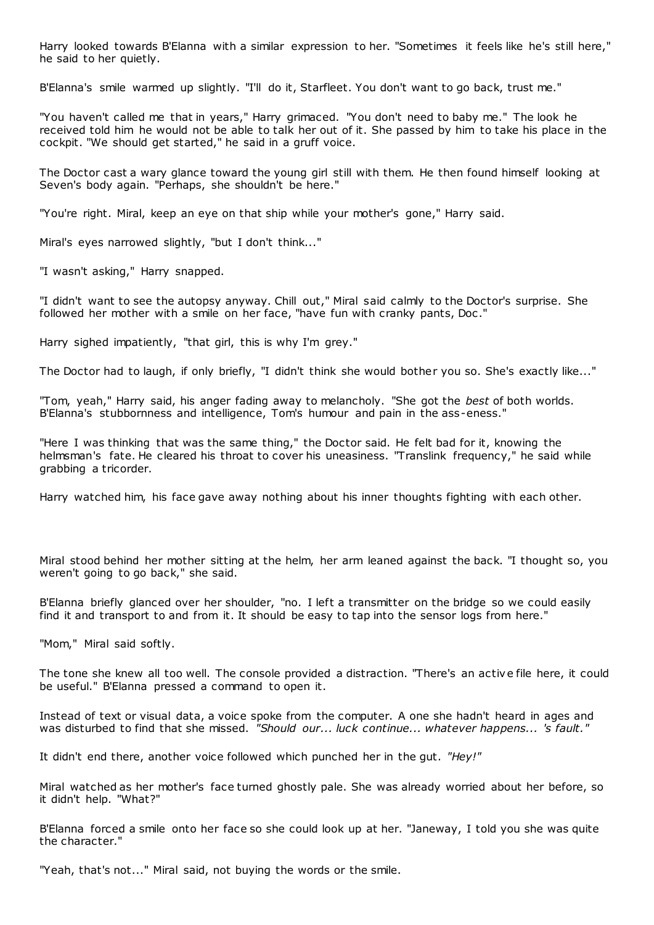Harry looked towards B'Elanna with a similar expression to her. "Sometimes it feels like he's still here," he said to her quietly.

B'Elanna's smile warmed up slightly. "I'll do it, Starfleet. You don't want to go back, trust me."

"You haven't called me that in years," Harry grimaced. "You don't need to baby me." The look he received told him he would not be able to talk her out of it. She passed by him to take his place in the cockpit. "We should get started," he said in a gruff voice.

The Doctor cast a wary glance toward the young girl still with them. He then found himself looking at Seven's body again. "Perhaps, she shouldn't be here."

"You're right. Miral, keep an eye on that ship while your mother's gone," Harry said.

Miral's eyes narrowed slightly, "but I don't think..."

"I wasn't asking," Harry snapped.

"I didn't want to see the autopsy anyway. Chill out," Miral said calmly to the Doctor's surprise. She followed her mother with a smile on her face, "have fun with cranky pants, Doc ."

Harry sighed impatiently, "that girl, this is why I'm grey."

The Doctor had to laugh, if only briefly, "I didn't think she would bother you so. She's exactly like..."

"Tom, yeah," Harry said, his anger fading away to melancholy. "She got the *best* of both worlds. B'Elanna's stubbornness and intelligence, Tom's humour and pain in the ass-eness."

"Here I was thinking that was the same thing," the Doctor said. He felt bad for it, knowing the helmsman's fate. He cleared his throat to cover his uneasiness. "Translink frequency," he said while grabbing a tricorder.

Harry watched him, his face gave away nothing about his inner thoughts fighting with each other.

Miral stood behind her mother sitting at the helm, her arm leaned against the back. "I thought so, you weren't going to go back," she said.

B'Elanna briefly glanced over her shoulder, "no. I left a transmitter on the bridge so we could easily find it and transport to and from it. It should be easy to tap into the sensor logs from here."

"Mom," Miral said softly.

The tone she knew all too well. The console provided a distraction. "There's an active file here, it could be useful." B'Elanna pressed a command to open it.

Instead of text or visual data, a voice spoke from the computer. A one she hadn't heard in ages and was disturbed to find that she missed. *"Should our... luck continue... whatever happens... 's fault."*

It didn't end there, another voice followed which punched her in the gut. *"Hey!"*

Miral watched as her mother's face turned ghostly pale. She was already worried about her before, so it didn't help. "What?"

B'Elanna forced a smile onto her face so she could look up at her. "Janeway, I told you she was quite the character."

"Yeah, that's not..." Miral said, not buying the words or the smile.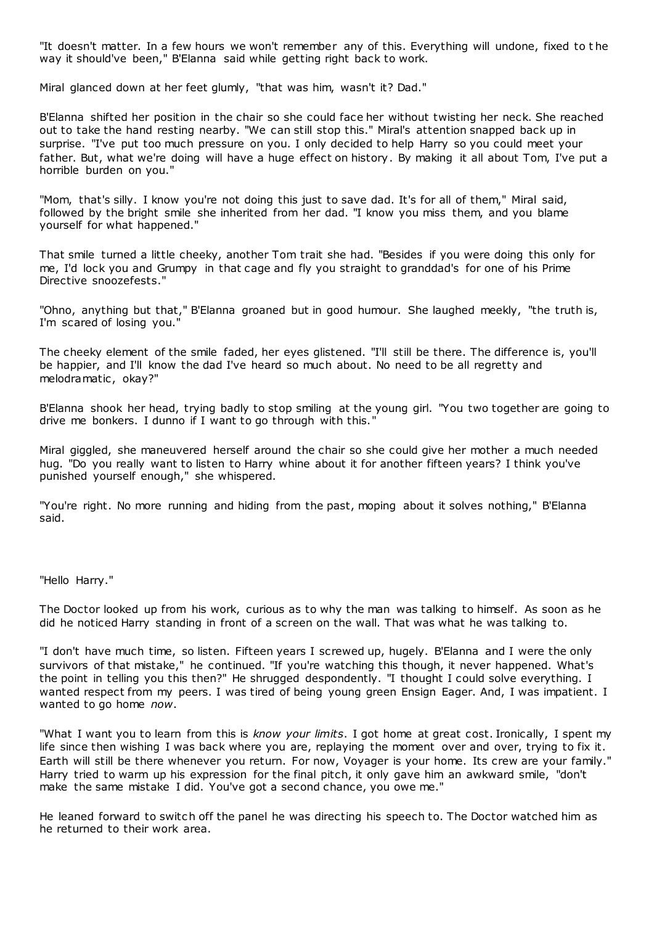"It doesn't matter. In a few hours we won't remember any of this. Everything will undone, fixed to t he way it should've been," B'Elanna said while getting right back to work.

Miral glanced down at her feet glumly, "that was him, wasn't it? Dad."

B'Elanna shifted her position in the chair so she could face her without twisting her neck. She reached out to take the hand resting nearby. "We can still stop this." Miral's attention snapped back up in surprise. "I've put too much pressure on you. I only decided to help Harry so you could meet your father. But, what we're doing will have a huge effect on history. By making it all about Tom, I've put a horrible burden on you."

"Mom, that's silly. I know you're not doing this just to save dad. It's for all of them," Miral said, followed by the bright smile she inherited from her dad. "I know you miss them, and you blame yourself for what happened."

That smile turned a little cheeky, another Tom trait she had. "Besides if you were doing this only for me, I'd lock you and Grumpy in that cage and fly you straight to granddad's for one of his Prime Directive snoozefests."

"Ohno, anything but that," B'Elanna groaned but in good humour. She laughed meekly, "the truth is, I'm scared of losing you."

The cheeky element of the smile faded, her eyes glistened. "I'll still be there. The difference is, you'll be happier, and I'll know the dad I've heard so much about. No need to be all regretty and melodramatic, okay?"

B'Elanna shook her head, trying badly to stop smiling at the young girl. "You two together are going to drive me bonkers. I dunno if I want to go through with this."

Miral giggled, she maneuvered herself around the chair so she could give her mother a much needed hug. "Do you really want to listen to Harry whine about it for another fifteen years? I think you've punished yourself enough," she whispered.

"You're right. No more running and hiding from the past, moping about it solves nothing," B'Elanna said.

"Hello Harry."

The Doctor looked up from his work, curious as to why the man was talking to himself. As soon as he did he noticed Harry standing in front of a screen on the wall. That was what he was talking to.

"I don't have much time, so listen. Fifteen years I screwed up, hugely. B'Elanna and I were the only survivors of that mistake," he continued. "If you're watching this though, it never happened. What's the point in telling you this then?" He shrugged despondently. "I thought I could solve everything. I wanted respect from my peers. I was tired of being young green Ensign Eager. And, I was impatient. I wanted to go home *now*.

"What I want you to learn from this is *know your limits*. I got home at great cost. Ironically, I spent my life since then wishing I was back where you are, replaying the moment over and over, trying to fix it. Earth will still be there whenever you return. For now, Voyager is your home. Its crew are your family." Harry tried to warm up his expression for the final pitch, it only gave him an awkward smile, "don't make the same mistake I did. You've got a second chance, you owe me."

He leaned forward to switch off the panel he was directing his speech to. The Doctor watched him as he returned to their work area.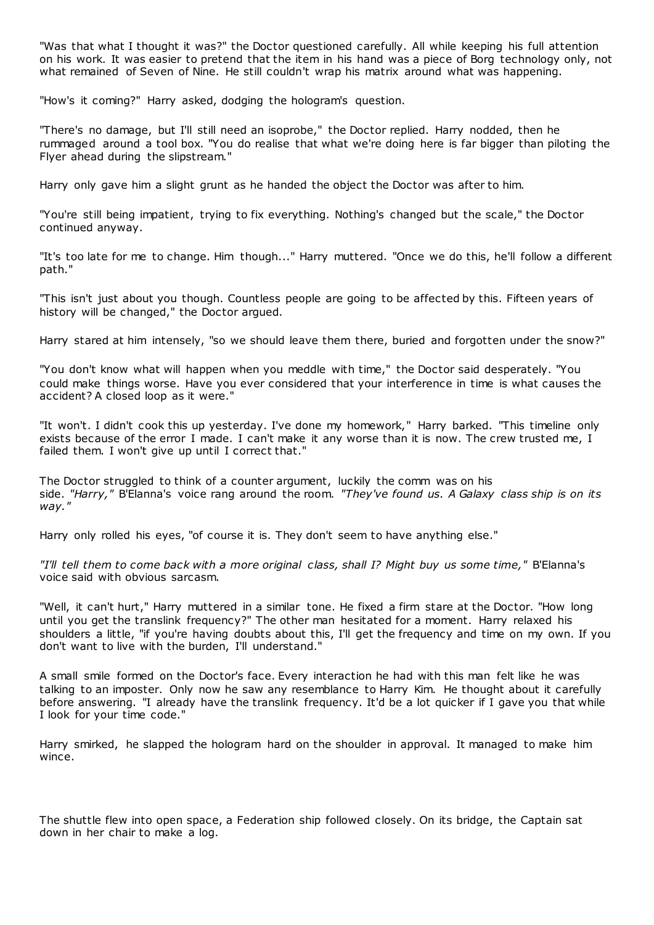"Was that what I thought it was?" the Doctor questioned carefully. All while keeping his full attention on his work. It was easier to pretend that the item in his hand was a piece of Borg technology only, not what remained of Seven of Nine. He still couldn't wrap his matrix around what was happening.

"How's it coming?" Harry asked, dodging the hologram's question.

"There's no damage, but I'll still need an isoprobe," the Doctor replied. Harry nodded, then he rummaged around a tool box. "You do realise that what we're doing here is far bigger than piloting the Flyer ahead during the slipstream."

Harry only gave him a slight grunt as he handed the object the Doctor was after to him.

"You're still being impatient, trying to fix everything. Nothing's changed but the scale," the Doctor continued anyway.

"It's too late for me to change. Him though..." Harry muttered. "Once we do this, he'll follow a different path."

"This isn't just about you though. Countless people are going to be affected by this. Fifteen years of history will be changed," the Doctor argued.

Harry stared at him intensely, "so we should leave them there, buried and forgotten under the snow?"

"You don't know what will happen when you meddle with time," the Doctor said desperately. "You could make things worse. Have you ever considered that your interference in time is what causes the accident? A closed loop as it were."

"It won't. I didn't cook this up yesterday. I've done my homework," Harry barked. "This timeline only exists because of the error I made. I can't make it any worse than it is now. The crew trusted me, I failed them. I won't give up until I correct that."

The Doctor struggled to think of a counter argument, luckily the comm was on his side. *"Harry,"* B'Elanna's voice rang around the room. *"They've found us. A Galaxy class ship is on its way."*

Harry only rolled his eyes, "of course it is. They don't seem to have anything else."

*"I'll tell them to come back with a more original class, shall I? Might buy us some time,"* B'Elanna's voice said with obvious sarcasm.

"Well, it can't hurt," Harry muttered in a similar tone. He fixed a firm stare at the Doctor. "How long until you get the translink frequency?" The other man hesitated for a moment. Harry relaxed his shoulders a little, "if you're having doubts about this, I'll get the frequency and time on my own. If you don't want to live with the burden, I'll understand."

A small smile formed on the Doctor's face. Every interaction he had with this man felt like he was talking to an imposter. Only now he saw any resemblance to Harry Kim. He thought about it carefully before answering. "I already have the translink frequency. It'd be a lot quicker if I gave you that while I look for your time code."

Harry smirked, he slapped the hologram hard on the shoulder in approval. It managed to make him wince.

The shuttle flew into open space, a Federation ship followed closely. On its bridge, the Captain sat down in her chair to make a log.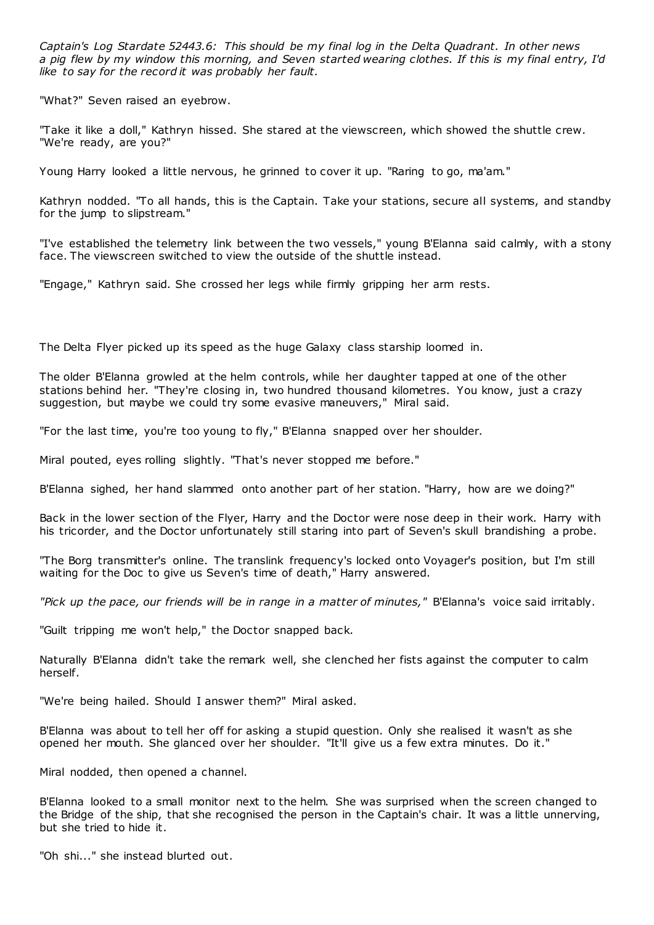*Captain's Log Stardate 52443.6: This should be my final log in the Delta Quadrant. In other news a pig flew by my window this morning, and Seven started wearing clothes. If this is my final entry, I'd like to say for the record it was probably her fault.*

"What?" Seven raised an eyebrow.

"Take it like a doll," Kathryn hissed. She stared at the viewscreen, which showed the shuttle crew. "We're ready, are you?"

Young Harry looked a little nervous, he grinned to cover it up. "Raring to go, ma'am."

Kathryn nodded. "To all hands, this is the Captain. Take your stations, secure all systems, and standby for the jump to slipstream."

"I've established the telemetry link between the two vessels," young B'Elanna said calmly, with a stony face. The viewscreen switched to view the outside of the shuttle instead.

"Engage," Kathryn said. She crossed her legs while firmly gripping her arm rests.

The Delta Flyer picked up its speed as the huge Galaxy class starship loomed in.

The older B'Elanna growled at the helm controls, while her daughter tapped at one of the other stations behind her. "They're closing in, two hundred thousand kilometres. You know, just a crazy suggestion, but maybe we could try some evasive maneuvers," Miral said.

"For the last time, you're too young to fly," B'Elanna snapped over her shoulder.

Miral pouted, eyes rolling slightly. "That's never stopped me before."

B'Elanna sighed, her hand slammed onto another part of her station. "Harry, how are we doing?"

Back in the lower section of the Flyer, Harry and the Doctor were nose deep in their work. Harry with his tricorder, and the Doctor unfortunately still staring into part of Seven's skull brandishing a probe.

"The Borg transmitter's online. The translink frequency's locked onto Voyager's position, but I'm still waiting for the Doc to give us Seven's time of death," Harry answered.

*"Pick up the pace, our friends will be in range in a matter of minutes,"* B'Elanna's voice said irritably.

"Guilt tripping me won't help," the Doctor snapped back.

Naturally B'Elanna didn't take the remark well, she clenched her fists against the computer to calm herself.

"We're being hailed. Should I answer them?" Miral asked.

B'Elanna was about to tell her off for asking a stupid question. Only she realised it wasn't as she opened her mouth. She glanced over her shoulder. "It'll give us a few extra minutes. Do it."

Miral nodded, then opened a channel.

B'Elanna looked to a small monitor next to the helm. She was surprised when the screen changed to the Bridge of the ship, that she recognised the person in the Captain's chair. It was a little unnerving, but she tried to hide it.

"Oh shi..." she instead blurted out.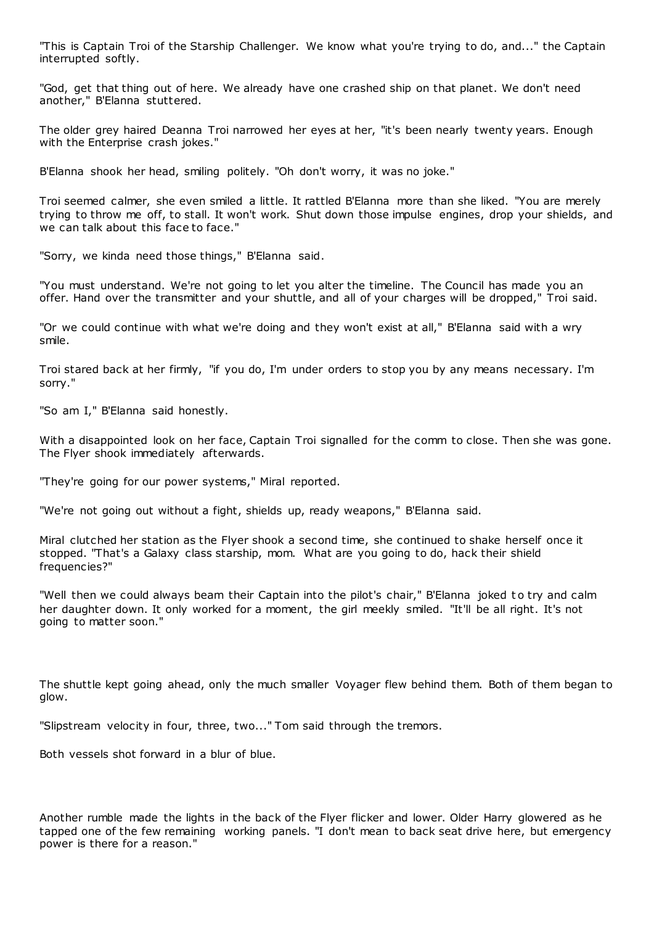"This is Captain Troi of the Starship Challenger. We know what you're trying to do, and..." the Captain interrupted softly.

"God, get that thing out of here. We already have one crashed ship on that planet. We don't need another," B'Elanna stuttered.

The older grey haired Deanna Troi narrowed her eyes at her, "it's been nearly twenty years. Enough with the Enterprise crash jokes."

B'Elanna shook her head, smiling politely. "Oh don't worry, it was no joke."

Troi seemed calmer, she even smiled a little. It rattled B'Elanna more than she liked. "You are merely trying to throw me off, to stall. It won't work. Shut down those impulse engines, drop your shields, and we can talk about this face to face."

"Sorry, we kinda need those things," B'Elanna said.

"You must understand. We're not going to let you alter the timeline. The Council has made you an offer. Hand over the transmitter and your shuttle, and all of your charges will be dropped," Troi said.

"Or we could continue with what we're doing and they won't exist at all," B'Elanna said with a wry smile.

Troi stared back at her firmly, "if you do, I'm under orders to stop you by any means necessary. I'm sorry."

"So am I," B'Elanna said honestly.

With a disappointed look on her face, Captain Troi signalled for the comm to close. Then she was gone. The Flyer shook immediately afterwards.

"They're going for our power systems," Miral reported.

"We're not going out without a fight, shields up, ready weapons," B'Elanna said.

Miral clutched her station as the Flyer shook a second time, she continued to shake herself once it stopped. "That's a Galaxy class starship, mom. What are you going to do, hack their shield frequencies?"

"Well then we could always beam their Captain into the pilot's chair," B'Elanna joked to try and calm her daughter down. It only worked for a moment, the girl meekly smiled. "It'll be all right. It's not going to matter soon."

The shuttle kept going ahead, only the much smaller Voyager flew behind them. Both of them began to glow.

"Slipstream velocity in four, three, two..." Tom said through the tremors.

Both vessels shot forward in a blur of blue.

Another rumble made the lights in the back of the Flyer flicker and lower. Older Harry glowered as he tapped one of the few remaining working panels. "I don't mean to back seat drive here, but emergency power is there for a reason."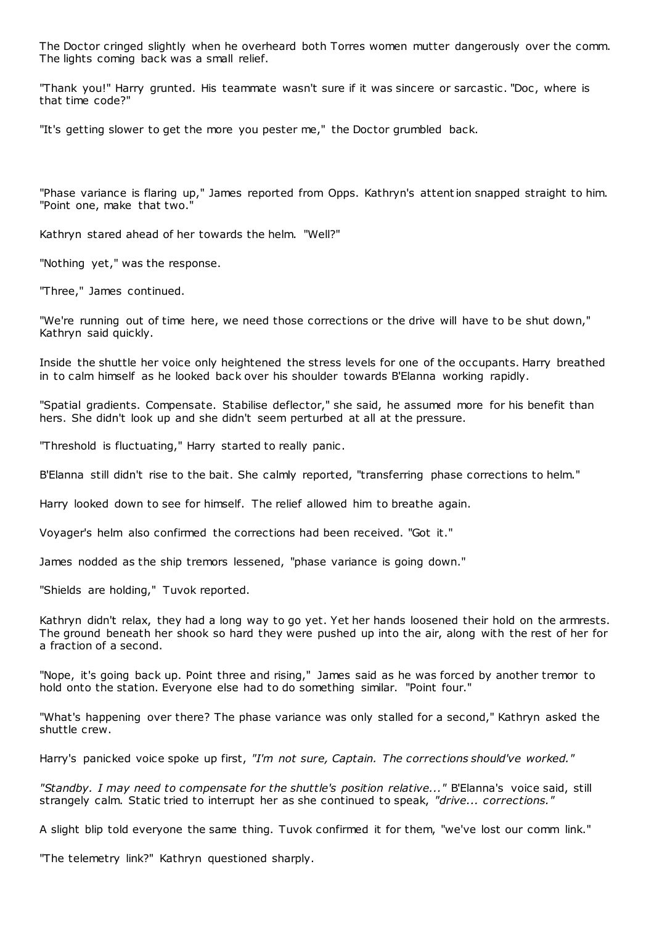The Doctor cringed slightly when he overheard both Torres women mutter dangerously over the comm. The lights coming back was a small relief.

"Thank you!" Harry grunted. His teammate wasn't sure if it was sincere or sarcastic . "Doc , where is that time code?"

"It's getting slower to get the more you pester me," the Doctor grumbled back.

"Phase variance is flaring up," James reported from Opps. Kathryn's attention snapped straight to him. "Point one, make that two."

Kathryn stared ahead of her towards the helm. "Well?"

"Nothing yet," was the response.

"Three," James continued.

"We're running out of time here, we need those corrections or the drive will have to be shut down," Kathryn said quickly.

Inside the shuttle her voice only heightened the stress levels for one of the occupants. Harry breathed in to calm himself as he looked back over his shoulder towards B'Elanna working rapidly.

"Spatial gradients. Compensate. Stabilise deflector," she said, he assumed more for his benefit than hers. She didn't look up and she didn't seem perturbed at all at the pressure.

"Threshold is fluctuating," Harry started to really panic .

B'Elanna still didn't rise to the bait. She calmly reported, "transferring phase corrections to helm."

Harry looked down to see for himself. The relief allowed him to breathe again.

Voyager's helm also confirmed the corrections had been received. "Got it."

James nodded as the ship tremors lessened, "phase variance is going down."

"Shields are holding," Tuvok reported.

Kathryn didn't relax, they had a long way to go yet. Yet her hands loosened their hold on the armrests. The ground beneath her shook so hard they were pushed up into the air, along with the rest of her for a fraction of a second.

"Nope, it's going back up. Point three and rising," James said as he was forced by another tremor to hold onto the station. Everyone else had to do something similar. "Point four."

"What's happening over there? The phase variance was only stalled for a second," Kathryn asked the shuttle crew.

Harry's panicked voice spoke up first, *"I'm not sure, Captain. The corrections should've worked."*

*"Standby. I may need to compensate for the shuttle's position relative..."* B'Elanna's voice said, still strangely calm. Static tried to interrupt her as she continued to speak, *"drive... corrections."*

A slight blip told everyone the same thing. Tuvok confirmed it for them, "we've lost our comm link."

"The telemetry link?" Kathryn questioned sharply.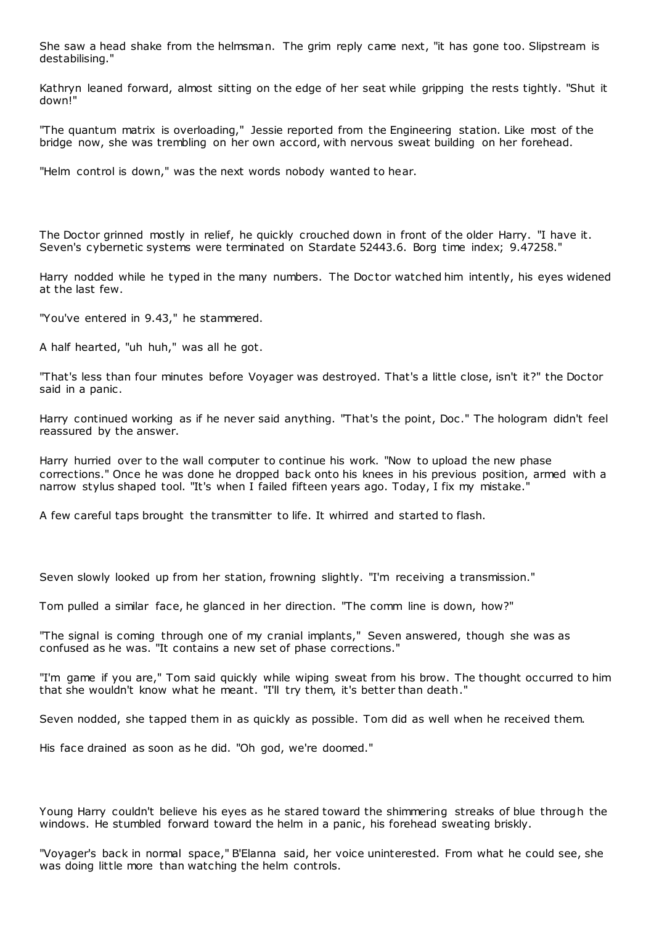She saw a head shake from the helmsman. The grim reply came next, "it has gone too. Slipstream is destabilising."

Kathryn leaned forward, almost sitting on the edge of her seat while gripping the rests tightly. "Shut it down!"

"The quantum matrix is overloading," Jessie reported from the Engineering station. Like most of the bridge now, she was trembling on her own accord, with nervous sweat building on her forehead.

"Helm control is down," was the next words nobody wanted to hear.

The Doctor grinned mostly in relief, he quickly crouched down in front of the older Harry. "I have it. Seven's cybernetic systems were terminated on Stardate 52443.6. Borg time index; 9.47258."

Harry nodded while he typed in the many numbers. The Doc tor watched him intently, his eyes widened at the last few.

"You've entered in 9.43," he stammered.

A half hearted, "uh huh," was all he got.

"That's less than four minutes before Voyager was destroyed. That's a little close, isn't it?" the Doctor said in a panic.

Harry continued working as if he never said anything. "That's the point, Doc ." The hologram didn't feel reassured by the answer.

Harry hurried over to the wall computer to continue his work. "Now to upload the new phase corrections." Once he was done he dropped back onto his knees in his previous position, armed with a narrow stylus shaped tool. "It's when I failed fifteen years ago. Today, I fix my mistake."

A few careful taps brought the transmitter to life. It whirred and started to flash.

Seven slowly looked up from her station, frowning slightly. "I'm receiving a transmission."

Tom pulled a similar face, he glanced in her direction. "The comm line is down, how?"

"The signal is coming through one of my cranial implants," Seven answered, though she was as confused as he was. "It contains a new set of phase corrections."

"I'm game if you are," Tom said quickly while wiping sweat from his brow. The thought occurred to him that she wouldn't know what he meant. "I'll try them, it's better than death."

Seven nodded, she tapped them in as quickly as possible. Tom did as well when he received them.

His face drained as soon as he did. "Oh god, we're doomed."

Young Harry couldn't believe his eyes as he stared toward the shimmering streaks of blue through the windows. He stumbled forward toward the helm in a panic, his forehead sweating briskly.

"Voyager's back in normal space," B'Elanna said, her voice uninterested. From what he could see, she was doing little more than watching the helm controls.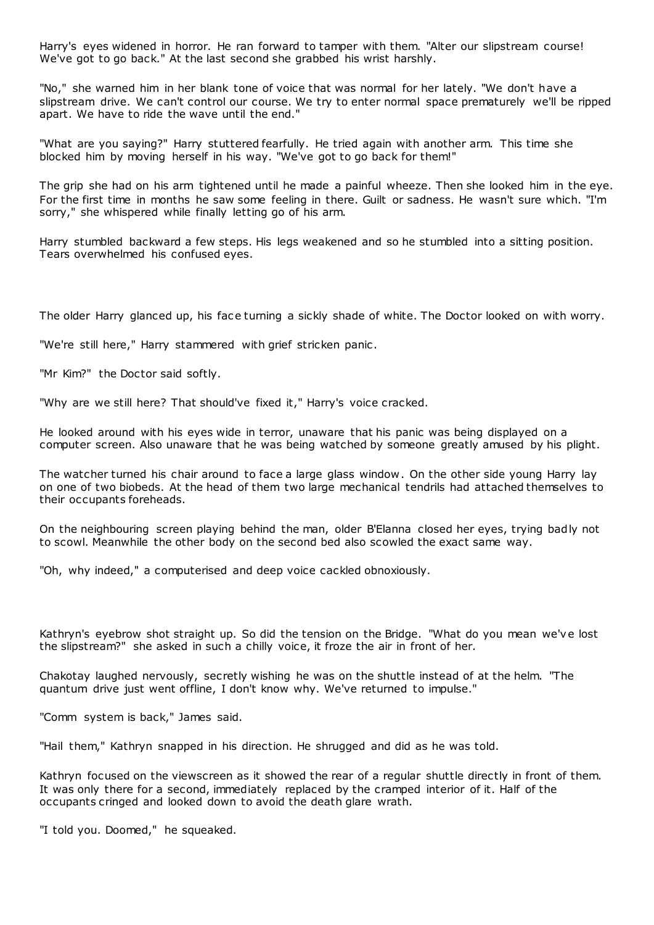Harry's eyes widened in horror. He ran forward to tamper with them. "Alter our slipstream course! We've got to go back." At the last second she grabbed his wrist harshly.

"No," she warned him in her blank tone of voice that was normal for her lately. "We don't have a slipstream drive. We can't control our course. We try to enter normal space prematurely we'll be ripped apart. We have to ride the wave until the end."

"What are you saying?" Harry stuttered fearfully. He tried again with another arm. This time she blocked him by moving herself in his way. "We've got to go back for them!"

The grip she had on his arm tightened until he made a painful wheeze. Then she looked him in the eye. For the first time in months he saw some feeling in there. Guilt or sadness. He wasn't sure which. "I'm sorry," she whispered while finally letting go of his arm.

Harry stumbled backward a few steps. His legs weakened and so he stumbled into a sitting position. Tears overwhelmed his confused eyes.

The older Harry glanced up, his face turning a sickly shade of white. The Doctor looked on with worry.

"We're still here," Harry stammered with grief stricken panic .

"Mr Kim?" the Doctor said softly.

"Why are we still here? That should've fixed it," Harry's voice cracked.

He looked around with his eyes wide in terror, unaware that his panic was being displayed on a computer screen. Also unaware that he was being watched by someone greatly amused by his plight.

The watcher turned his chair around to face a large glass window. On the other side young Harry lay on one of two biobeds. At the head of them two large mechanical tendrils had attached themselves to their occupants foreheads.

On the neighbouring screen playing behind the man, older B'Elanna closed her eyes, trying badly not to scowl. Meanwhile the other body on the second bed also scowled the exact same way.

"Oh, why indeed," a computerised and deep voice cackled obnoxiously.

Kathryn's eyebrow shot straight up. So did the tension on the Bridge. "What do you mean we've lost the slipstream?" she asked in such a chilly voice, it froze the air in front of her.

Chakotay laughed nervously, secretly wishing he was on the shuttle instead of at the helm. "The quantum drive just went offline, I don't know why. We've returned to impulse."

"Comm system is back," James said.

"Hail them," Kathryn snapped in his direction. He shrugged and did as he was told.

Kathryn focused on the viewscreen as it showed the rear of a regular shuttle directly in front of them. It was only there for a second, immediately replaced by the cramped interior of it. Half of the occupants cringed and looked down to avoid the death glare wrath.

"I told you. Doomed," he squeaked.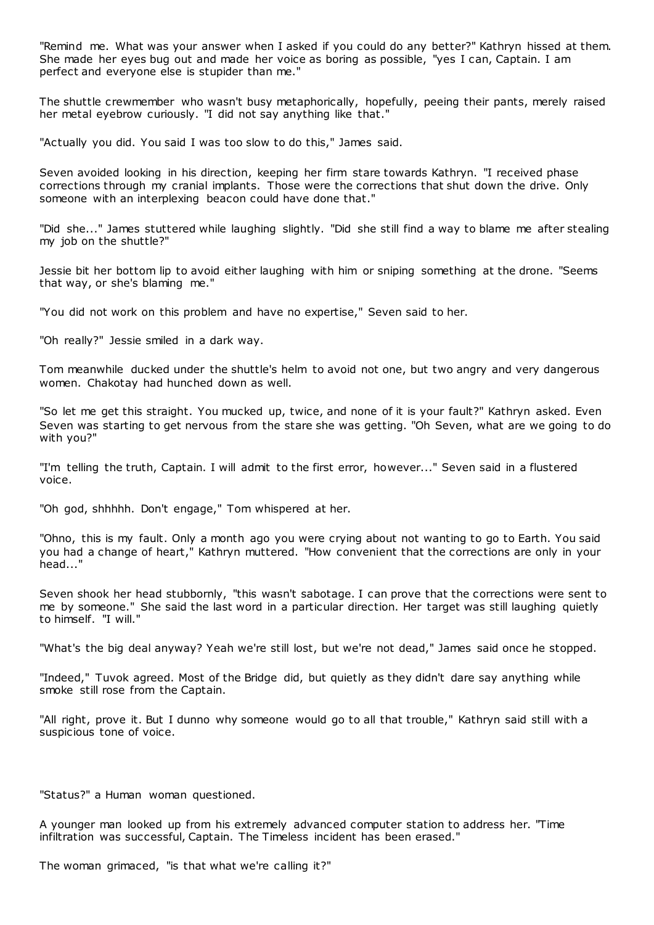"Remind me. What was your answer when I asked if you could do any better?" Kathryn hissed at them. She made her eyes bug out and made her voice as boring as possible, "yes I can, Captain. I am perfect and everyone else is stupider than me."

The shuttle crewmember who wasn't busy metaphorically, hopefully, peeing their pants, merely raised her metal eyebrow curiously. "I did not say anything like that."

"Actually you did. You said I was too slow to do this," James said.

Seven avoided looking in his direction, keeping her firm stare towards Kathryn. "I received phase corrections through my cranial implants. Those were the corrections that shut down the drive. Only someone with an interplexing beacon could have done that."

"Did she..." James stuttered while laughing slightly. "Did she still find a way to blame me after stealing my job on the shuttle?"

Jessie bit her bottom lip to avoid either laughing with him or sniping something at the drone. "Seems that way, or she's blaming me."

"You did not work on this problem and have no expertise," Seven said to her.

"Oh really?" Jessie smiled in a dark way.

Tom meanwhile ducked under the shuttle's helm to avoid not one, but two angry and very dangerous women. Chakotay had hunched down as well.

"So let me get this straight. You mucked up, twice, and none of it is your fault?" Kathryn asked. Even Seven was starting to get nervous from the stare she was getting. "Oh Seven, what are we going to do with you?"

"I'm telling the truth, Captain. I will admit to the first error, however..." Seven said in a flustered voice.

"Oh god, shhhhh. Don't engage," Tom whispered at her.

"Ohno, this is my fault. Only a month ago you were crying about not wanting to go to Earth. You said you had a change of heart," Kathryn muttered. "How convenient that the corrections are only in your head..."

Seven shook her head stubbornly, "this wasn't sabotage. I can prove that the corrections were sent to me by someone." She said the last word in a particular direction. Her target was still laughing quietly to himself. "I will."

"What's the big deal anyway? Yeah we're still lost, but we're not dead," James said once he stopped.

"Indeed," Tuvok agreed. Most of the Bridge did, but quietly as they didn't dare say anything while smoke still rose from the Captain.

"All right, prove it. But I dunno why someone would go to all that trouble," Kathryn said still with a suspicious tone of voice.

"Status?" a Human woman questioned.

A younger man looked up from his extremely advanced computer station to address her. "Time infiltration was successful, Captain. The Timeless incident has been erased."

The woman grimaced, "is that what we're calling it?"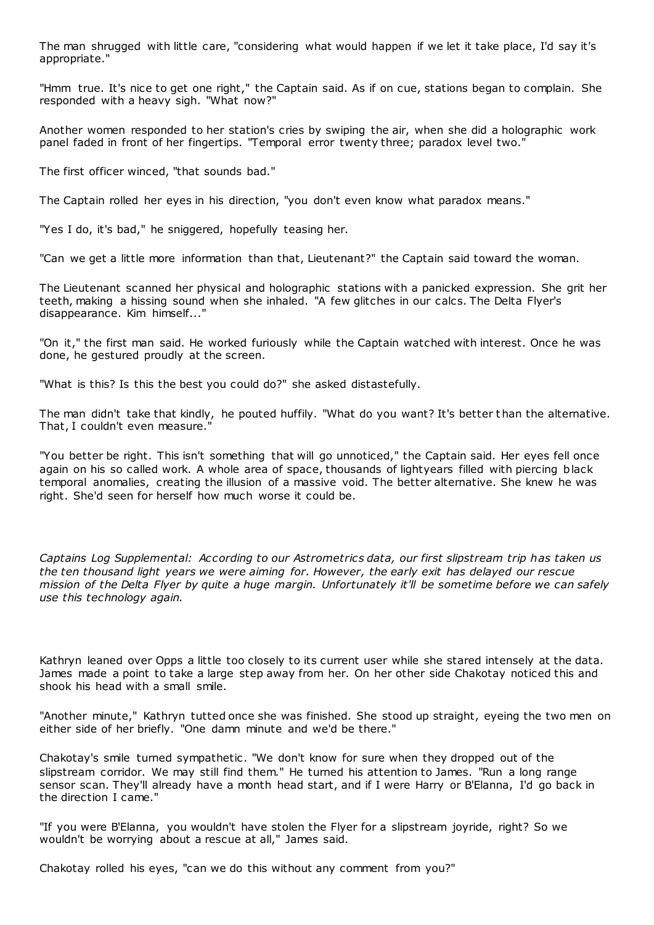The man shrugged with little care, "considering what would happen if we let it take place, I'd say it's appropriate."

"Hmm true. It's nice to get one right," the Captain said. As if on cue, stations began to complain. She responded with a heavy sigh. "What now?"

Another women responded to her station's cries by swiping the air, when she did a holographic work panel faded in front of her fingertips. "Temporal error twenty three; paradox level two."

The first officer winced, "that sounds bad."

The Captain rolled her eyes in his direction, "you don't even know what paradox means."

"Yes I do, it's bad," he sniggered, hopefully teasing her.

"Can we get a little more information than that, Lieutenant?" the Captain said toward the woman.

The Lieutenant scanned her physical and holographic stations with a panicked expression. She grit her teeth, making a hissing sound when she inhaled. "A few glitches in our calcs. The Delta Flyer's disappearance. Kim himself..."

"On it," the first man said. He worked furiously while the Captain watched with interest. Once he was done, he gestured proudly at the screen.

"What is this? Is this the best you could do?" she asked distastefully.

The man didn't take that kindly, he pouted huffily. "What do you want? It's better t han the alternative. That, I couldn't even measure."

"You better be right. This isn't something that will go unnoticed," the Captain said. Her eyes fell once again on his so called work. A whole area of space, thousands of lightyears filled with piercing black temporal anomalies, creating the illusion of a massive void. The better alternative. She knew he was right. She'd seen for herself how much worse it could be.

*Captains Log Supplemental: According to our Astrometrics data, our first slipstream trip has taken us the ten thousand light years we were aiming for. However, the early exit has delayed our rescue mission of the Delta Flyer by quite a huge margin. Unfortunately it'll be sometime before we can safely use this technology again.*

Kathryn leaned over Opps a little too closely to its current user while she stared intensely at the data. James made a point to take a large step away from her. On her other side Chakotay noticed this and shook his head with a small smile.

"Another minute," Kathryn tutted once she was finished. She stood up straight, eyeing the two men on either side of her briefly. "One damn minute and we'd be there."

Chakotay's smile turned sympathetic . "We don't know for sure when they dropped out of the slipstream corridor. We may still find them." He turned his attention to James. "Run a long range sensor scan. They'll already have a month head start, and if I were Harry or B'Elanna, I'd go back in the direction I came."

"If you were B'Elanna, you wouldn't have stolen the Flyer for a slipstream joyride, right? So we wouldn't be worrying about a rescue at all," James said.

Chakotay rolled his eyes, "can we do this without any comment from you?"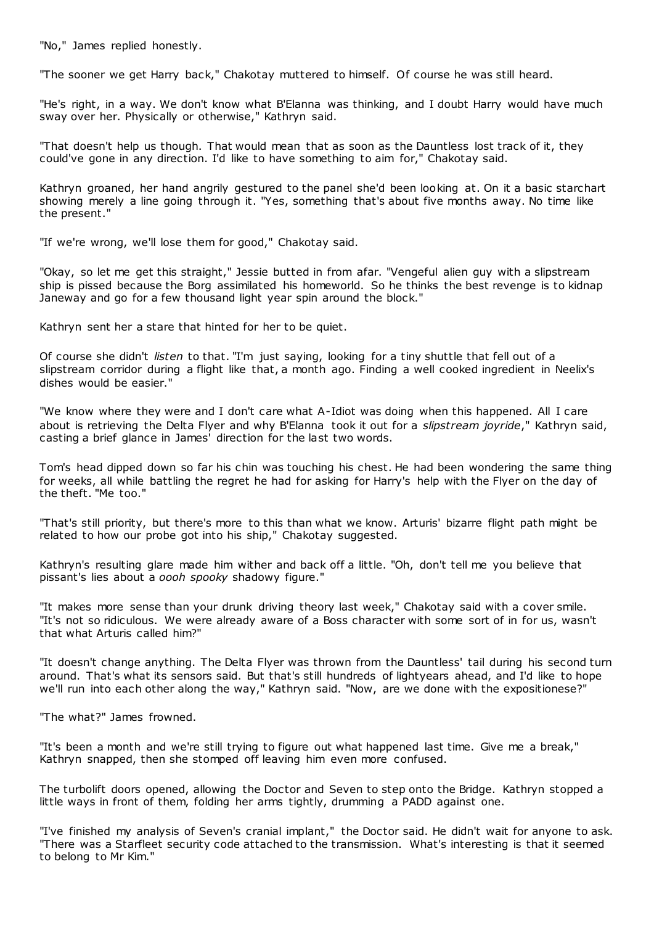"No," James replied honestly.

"The sooner we get Harry back," Chakotay muttered to himself. Of course he was still heard.

"He's right, in a way. We don't know what B'Elanna was thinking, and I doubt Harry would have much sway over her. Physically or otherwise," Kathryn said.

"That doesn't help us though. That would mean that as soon as the Dauntless lost track of it, they could've gone in any direction. I'd like to have something to aim for," Chakotay said.

Kathryn groaned, her hand angrily gestured to the panel she'd been looking at. On it a basic starchart showing merely a line going through it. "Yes, something that's about five months away. No time like the present."

"If we're wrong, we'll lose them for good," Chakotay said.

"Okay, so let me get this straight," Jessie butted in from afar. "Vengeful alien guy with a slipstream ship is pissed because the Borg assimilated his homeworld. So he thinks the best revenge is to kidnap Janeway and go for a few thousand light year spin around the block."

Kathryn sent her a stare that hinted for her to be quiet.

Of course she didn't *listen* to that. "I'm just saying, looking for a tiny shuttle that fell out of a slipstream corridor during a flight like that, a month ago. Finding a well cooked ingredient in Neelix's dishes would be easier."

"We know where they were and I don't care what A-Idiot was doing when this happened. All I care about is retrieving the Delta Flyer and why B'Elanna took it out for a *slipstream joyride*," Kathryn said, casting a brief glance in James' direction for the last two words.

Tom's head dipped down so far his chin was touching his chest. He had been wondering the same thing for weeks, all while battling the regret he had for asking for Harry's help with the Flyer on the day of the theft. "Me too."

"That's still priority, but there's more to this than what we know. Arturis' bizarre flight path might be related to how our probe got into his ship," Chakotay suggested.

Kathryn's resulting glare made him wither and back off a little. "Oh, don't tell me you believe that pissant's lies about a *oooh spooky* shadowy figure."

"It makes more sense than your drunk driving theory last week," Chakotay said with a cover smile. "It's not so ridiculous. We were already aware of a Boss character with some sort of in for us, wasn't that what Arturis called him?"

"It doesn't change anything. The Delta Flyer was thrown from the Dauntless' tail during his second turn around. That's what its sensors said. But that's still hundreds of lightyears ahead, and I'd like to hope we'll run into each other along the way," Kathryn said. "Now, are we done with the expositionese?"

"The what?" James frowned.

"It's been a month and we're still trying to figure out what happened last time. Give me a break," Kathryn snapped, then she stomped off leaving him even more confused.

The turbolift doors opened, allowing the Doctor and Seven to step onto the Bridge. Kathryn stopped a little ways in front of them, folding her arms tightly, drumming a PADD against one.

"I've finished my analysis of Seven's cranial implant," the Doctor said. He didn't wait for anyone to ask. "There was a Starfleet security code attached to the transmission. What's interesting is that it seemed to belong to Mr Kim."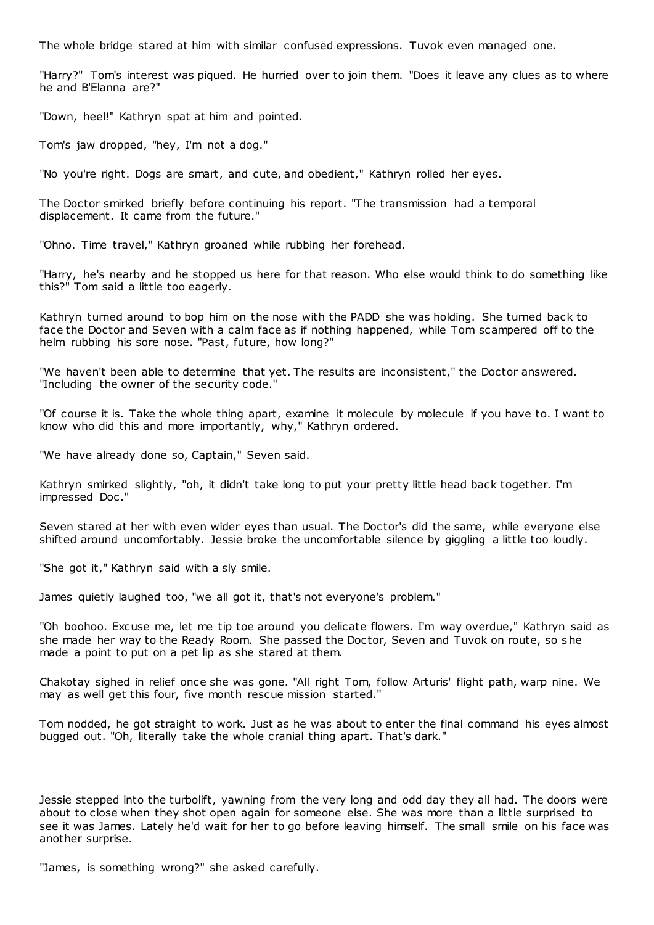The whole bridge stared at him with similar confused expressions. Tuvok even managed one.

"Harry?" Tom's interest was piqued. He hurried over to join them. "Does it leave any clues as to where he and B'Elanna are?"

"Down, heel!" Kathryn spat at him and pointed.

Tom's jaw dropped, "hey, I'm not a dog."

"No you're right. Dogs are smart, and cute, and obedient," Kathryn rolled her eyes.

The Doctor smirked briefly before continuing his report. "The transmission had a temporal displacement. It came from the future."

"Ohno. Time travel," Kathryn groaned while rubbing her forehead.

"Harry, he's nearby and he stopped us here for that reason. Who else would think to do something like this?" Tom said a little too eagerly.

Kathryn turned around to bop him on the nose with the PADD she was holding. She turned back to face the Doctor and Seven with a calm face as if nothing happened, while Tom scampered off to the helm rubbing his sore nose. "Past, future, how long?"

"We haven't been able to determine that yet. The results are inconsistent," the Doctor answered. "Including the owner of the security code."

"Of course it is. Take the whole thing apart, examine it molecule by molecule if you have to. I want to know who did this and more importantly, why," Kathryn ordered.

"We have already done so, Captain," Seven said.

Kathryn smirked slightly, "oh, it didn't take long to put your pretty little head back together. I'm impressed Doc ."

Seven stared at her with even wider eyes than usual. The Doctor's did the same, while everyone else shifted around uncomfortably. Jessie broke the uncomfortable silence by giggling a little too loudly.

"She got it," Kathryn said with a sly smile.

James quietly laughed too, "we all got it, that's not everyone's problem."

"Oh boohoo. Excuse me, let me tip toe around you delicate flowers. I'm way overdue," Kathryn said as she made her way to the Ready Room. She passed the Doctor, Seven and Tuvok on route, so she made a point to put on a pet lip as she stared at them.

Chakotay sighed in relief once she was gone. "All right Tom, follow Arturis' flight path, warp nine. We may as well get this four, five month rescue mission started."

Tom nodded, he got straight to work. Just as he was about to enter the final command his eyes almost bugged out. "Oh, literally take the whole cranial thing apart. That's dark."

Jessie stepped into the turbolift, yawning from the very long and odd day they all had. The doors were about to close when they shot open again for someone else. She was more than a little surprised to see it was James. Lately he'd wait for her to go before leaving himself. The small smile on his face was another surprise.

"James, is something wrong?" she asked carefully.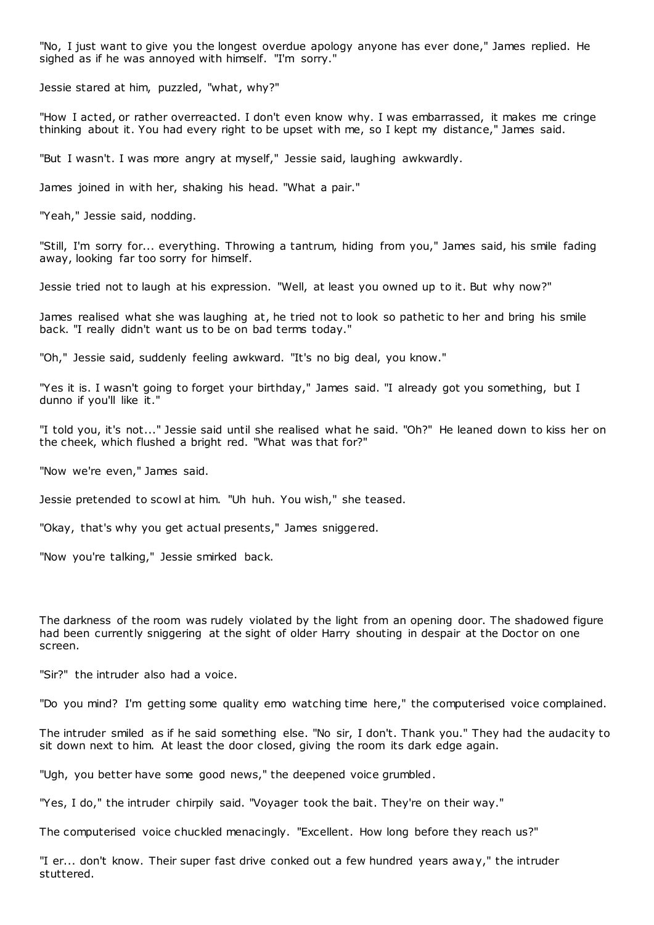"No, I just want to give you the longest overdue apology anyone has ever done," James replied. He sighed as if he was annoyed with himself. "I'm sorry."

Jessie stared at him, puzzled, "what, why?"

"How I acted, or rather overreacted. I don't even know why. I was embarrassed, it makes me cringe thinking about it. You had every right to be upset with me, so I kept my distance," James said.

"But I wasn't. I was more angry at myself," Jessie said, laughing awkwardly.

James joined in with her, shaking his head. "What a pair."

"Yeah," Jessie said, nodding.

"Still, I'm sorry for... everything. Throwing a tantrum, hiding from you," James said, his smile fading away, looking far too sorry for himself.

Jessie tried not to laugh at his expression. "Well, at least you owned up to it. But why now?"

James realised what she was laughing at, he tried not to look so pathetic to her and bring his smile back. "I really didn't want us to be on bad terms today."

"Oh," Jessie said, suddenly feeling awkward. "It's no big deal, you know."

"Yes it is. I wasn't going to forget your birthday," James said. "I already got you something, but I dunno if you'll like it."

"I told you, it's not..." Jessie said until she realised what he said. "Oh?" He leaned down to kiss her on the cheek, which flushed a bright red. "What was that for?"

"Now we're even," James said.

Jessie pretended to scowl at him. "Uh huh. You wish," she teased.

"Okay, that's why you get actual presents," James sniggered.

"Now you're talking," Jessie smirked back.

The darkness of the room was rudely violated by the light from an opening door. The shadowed figure had been currently sniggering at the sight of older Harry shouting in despair at the Doctor on one screen.

"Sir?" the intruder also had a voice.

"Do you mind? I'm getting some quality emo watching time here," the computerised voice complained.

The intruder smiled as if he said something else. "No sir, I don't. Thank you." They had the audacity to sit down next to him. At least the door closed, giving the room its dark edge again.

"Ugh, you better have some good news," the deepened voice grumbled.

"Yes, I do," the intruder chirpily said. "Voyager took the bait. They're on their way."

The computerised voice chuckled menacingly. "Excellent. How long before they reach us?"

"I er... don't know. Their super fast drive conked out a few hundred years away," the intruder stuttered.